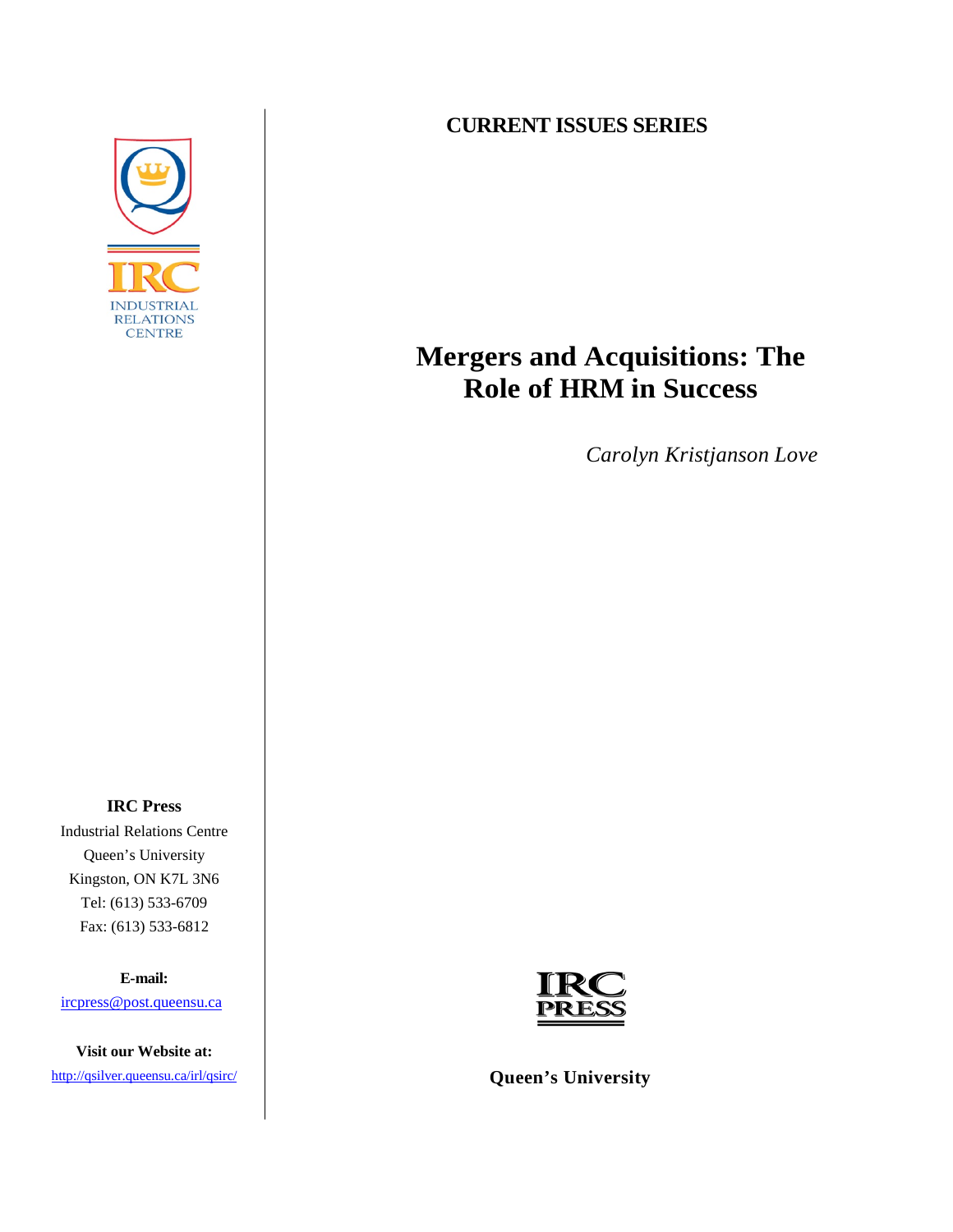

## **CURRENT ISSUES SERIES**

# **Mergers and Acquisitions: The Role of HRM in Success**

*Carolyn Kristjanson Love*

**IRC Press**  Industrial Relations Centre Queen's University Kingston, ON K7L 3N6 Tel: (613) 533-6709 Fax: (613) 533-6812

**E-mail:**

[ircpress@post.queensu.ca](mailto:ircpress@post.queensu.ca)

**Visit our Website at:** 

<http://qsilver.queensu.ca/irl/qsirc/>



**Queen's University**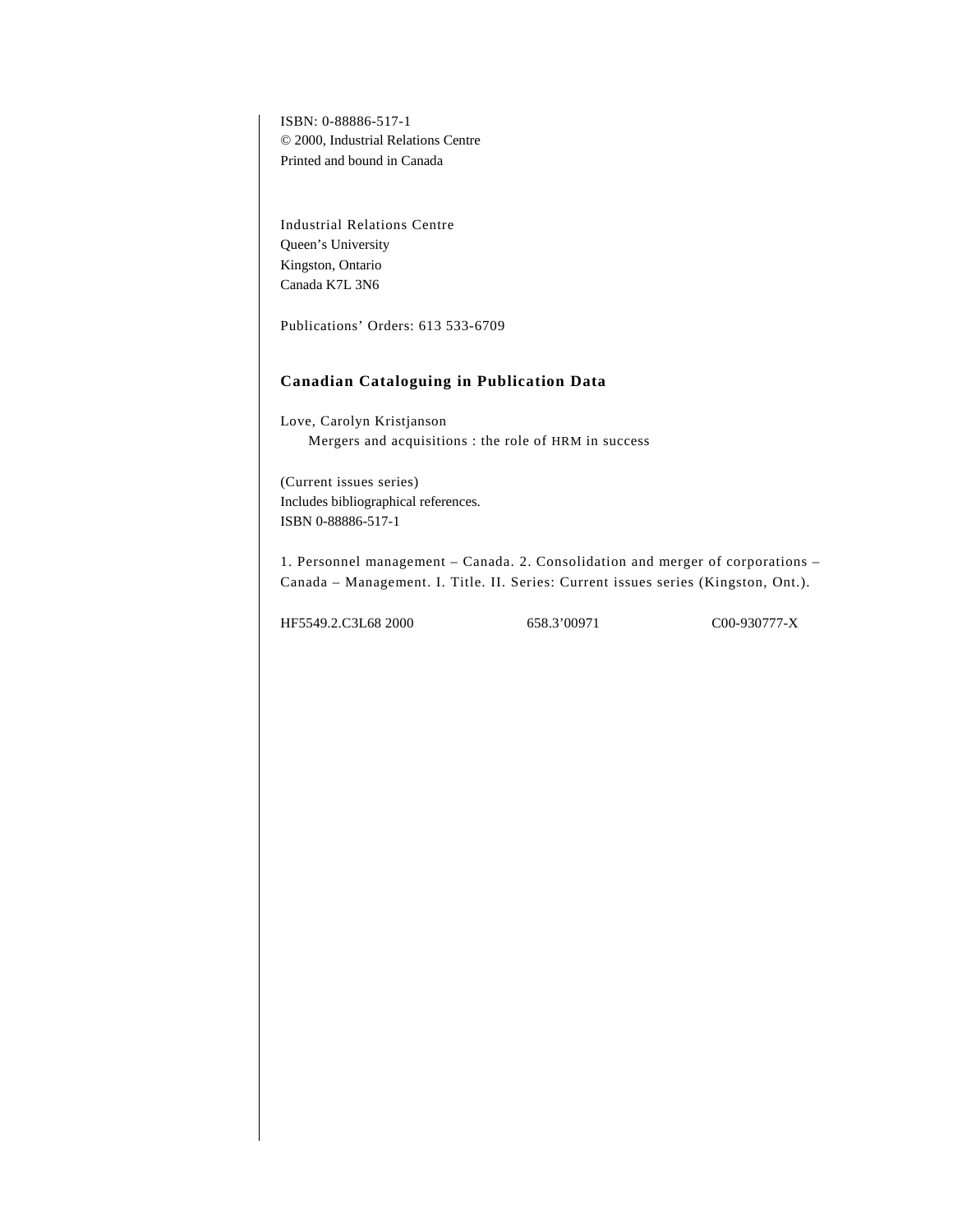ISBN: 0-88886-517-1 © 2000, Industrial Relations Centre Printed and bound in Canada

Industrial Relations Centre Queen's University Kingston, Ontario Canada K7L 3N6

Publications' Orders: 613 533-6709

## **Canadian Cataloguing in Publication Data**

Love, Carolyn Kristjanson Mergers and acquisitions : the role of HRM in success

(Current issues series) Includes bibliographical references. ISBN 0-88886-517-1

1. Personnel management – Canada. 2. Consolidation and merger of corporations – Canada – Management. I. Title. II. Series: Current issues series (Kingston, Ont.).

HF5549.2.C3L68 2000 658.3'00971 C00-930777-X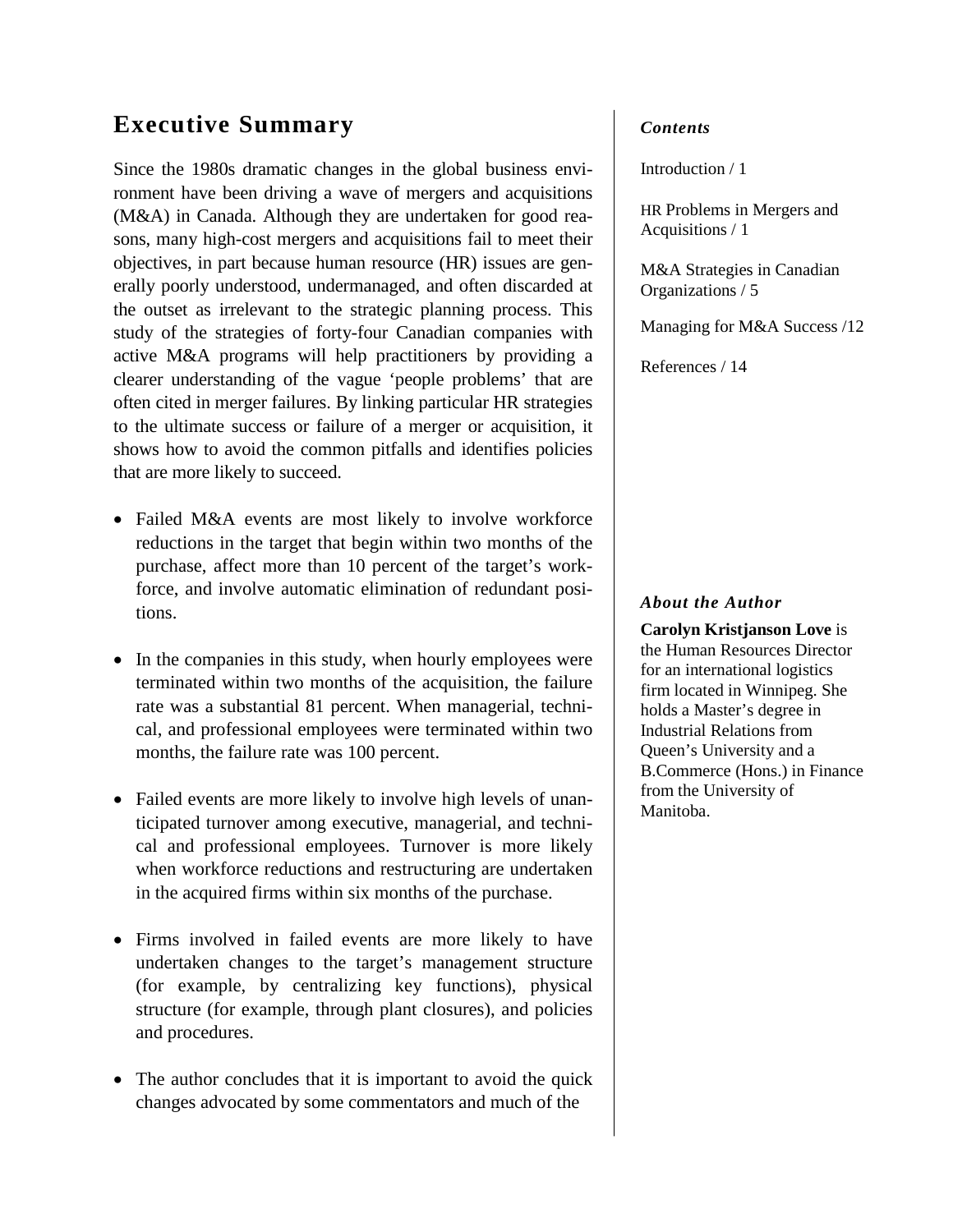## **Executive Summary**

Since the 1980s dramatic changes in the global business environment have been driving a wave of mergers and acquisitions (M&A) in Canada. Although they are undertaken for good reasons, many high-cost mergers and acquisitions fail to meet their objectives, in part because human resource (HR) issues are generally poorly understood, undermanaged, and often discarded at the outset as irrelevant to the strategic planning process. This study of the strategies of forty-four Canadian companies with active M&A programs will help practitioners by providing a clearer understanding of the vague 'people problems' that are often cited in merger failures. By linking particular HR strategies to the ultimate success or failure of a merger or acquisition, it shows how to avoid the common pitfalls and identifies policies that are more likely to succeed.

- Failed M&A events are most likely to involve workforce reductions in the target that begin within two months of the purchase, affect more than 10 percent of the target's workforce, and involve automatic elimination of redundant positions.
- In the companies in this study, when hourly employees were terminated within two months of the acquisition, the failure rate was a substantial 81 percent. When managerial, technical, and professional employees were terminated within two months, the failure rate was 100 percent.
- Failed events are more likely to involve high levels of unanticipated turnover among executive, managerial, and technical and professional employees. Turnover is more likely when workforce reductions and restructuring are undertaken in the acquired firms within six months of the purchase.
- Firms involved in failed events are more likely to have undertaken changes to the target's management structure (for example, by centralizing key functions), physical structure (for example, through plant closures), and policies and procedures.
- The author concludes that it is important to avoid the quick changes advocated by some commentators and much of the

## *Contents*

Introduction / 1

HR Problems in Mergers and Acquisitions / 1

M&A Strategies in Canadian Organizations / 5

Managing for M&A Success /12

References / 14

## *About the Author*

**Carolyn Kristjanson Love** is the Human Resources Director for an international logistics firm located in Winnipeg. She holds a Master's degree in Industrial Relations from Queen's University and a B.Commerce (Hons.) in Finance from the University of Manitoba.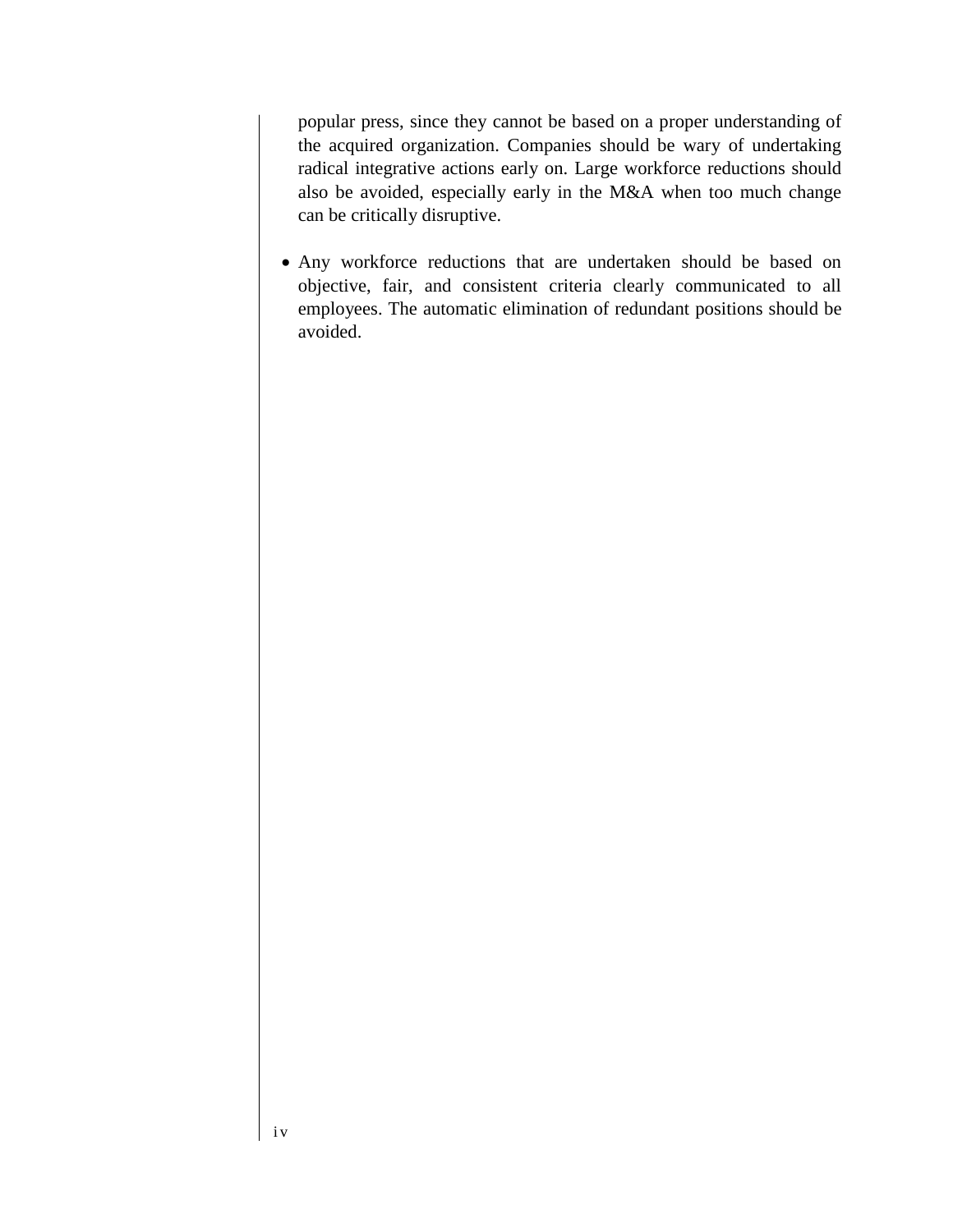popular press, since they cannot be based on a proper understanding of the acquired organization. Companies should be wary of undertaking radical integrative actions early on. Large workforce reductions should also be avoided, especially early in the M&A when too much change can be critically disruptive.

• Any workforce reductions that are undertaken should be based on objective, fair, and consistent criteria clearly communicated to all employees. The automatic elimination of redundant positions should be avoided.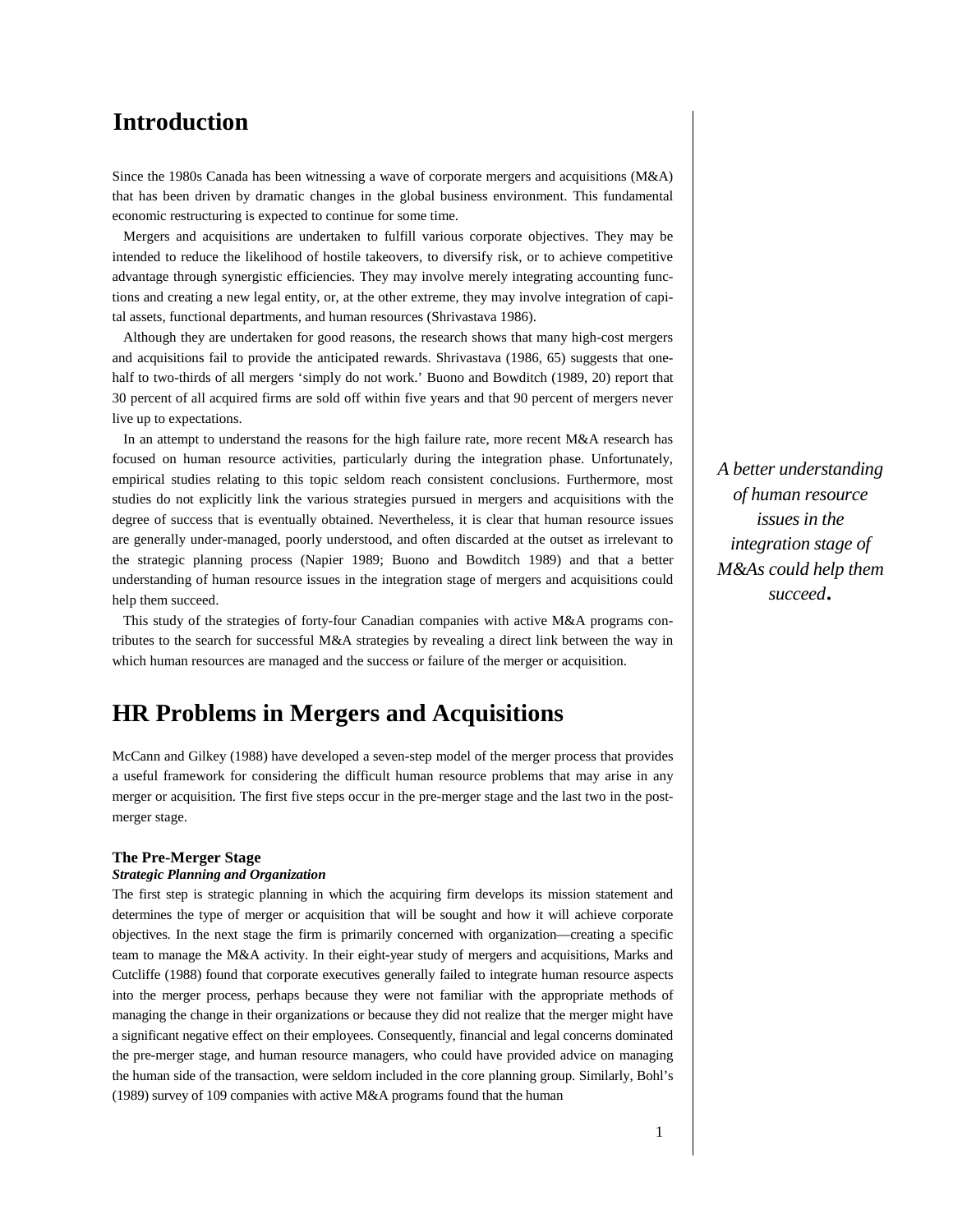## **Introduction**

Since the 1980s Canada has been witnessing a wave of corporate mergers and acquisitions (M&A) that has been driven by dramatic changes in the global business environment. This fundamental economic restructuring is expected to continue for some time.

Mergers and acquisitions are undertaken to fulfill various corporate objectives. They may be intended to reduce the likelihood of hostile takeovers, to diversify risk, or to achieve competitive advantage through synergistic efficiencies. They may involve merely integrating accounting functions and creating a new legal entity, or, at the other extreme, they may involve integration of capital assets, functional departments, and human resources (Shrivastava 1986).

Although they are undertaken for good reasons, the research shows that many high-cost mergers and acquisitions fail to provide the anticipated rewards. Shrivastava (1986, 65) suggests that onehalf to two-thirds of all mergers 'simply do not work.' Buono and Bowditch (1989, 20) report that 30 percent of all acquired firms are sold off within five years and that 90 percent of mergers never live up to expectations.

In an attempt to understand the reasons for the high failure rate, more recent M&A research has focused on human resource activities, particularly during the integration phase. Unfortunately, empirical studies relating to this topic seldom reach consistent conclusions. Furthermore, most studies do not explicitly link the various strategies pursued in mergers and acquisitions with the degree of success that is eventually obtained. Nevertheless, it is clear that human resource issues are generally under-managed, poorly understood, and often discarded at the outset as irrelevant to the strategic planning process (Napier 1989; Buono and Bowditch 1989) and that a better understanding of human resource issues in the integration stage of mergers and acquisitions could help them succeed.

This study of the strategies of forty-four Canadian companies with active M&A programs contributes to the search for successful M&A strategies by revealing a direct link between the way in which human resources are managed and the success or failure of the merger or acquisition.

## **HR Problems in Mergers and Acquisitions**

McCann and Gilkey (1988) have developed a seven-step model of the merger process that provides a useful framework for considering the difficult human resource problems that may arise in any merger or acquisition. The first five steps occur in the pre-merger stage and the last two in the postmerger stage.

## **The Pre-Merger Stage**

## *Strategic Planning and Organization*

The first step is strategic planning in which the acquiring firm develops its mission statement and determines the type of merger or acquisition that will be sought and how it will achieve corporate objectives. In the next stage the firm is primarily concerned with organization—creating a specific team to manage the M&A activity. In their eight-year study of mergers and acquisitions, Marks and Cutcliffe (1988) found that corporate executives generally failed to integrate human resource aspects into the merger process, perhaps because they were not familiar with the appropriate methods of managing the change in their organizations or because they did not realize that the merger might have a significant negative effect on their employees. Consequently, financial and legal concerns dominated the pre-merger stage, and human resource managers, who could have provided advice on managing the human side of the transaction, were seldom included in the core planning group. Similarly, Bohl's (1989) survey of 109 companies with active M&A programs found that the human

*A better understanding of human resource issues in the integration stage of M&As could help them succeed*.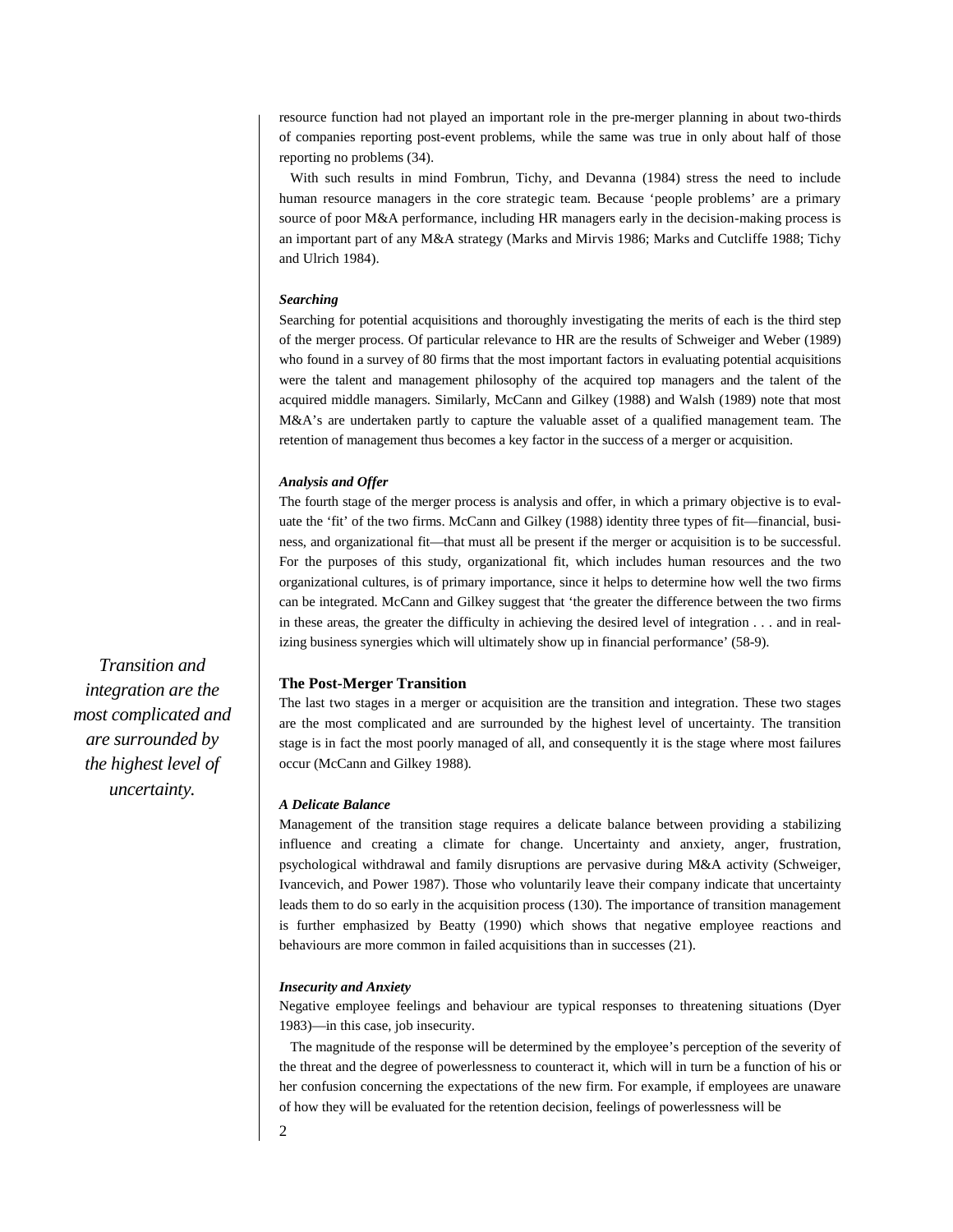resource function had not played an important role in the pre-merger planning in about two-thirds of companies reporting post-event problems, while the same was true in only about half of those reporting no problems (34).

With such results in mind Fombrun, Tichy, and Devanna (1984) stress the need to include human resource managers in the core strategic team. Because 'people problems' are a primary source of poor M&A performance, including HR managers early in the decision-making process is an important part of any M&A strategy (Marks and Mirvis 1986; Marks and Cutcliffe 1988; Tichy and Ulrich 1984).

## *Searching*

Searching for potential acquisitions and thoroughly investigating the merits of each is the third step of the merger process. Of particular relevance to HR are the results of Schweiger and Weber (1989) who found in a survey of 80 firms that the most important factors in evaluating potential acquisitions were the talent and management philosophy of the acquired top managers and the talent of the acquired middle managers. Similarly, McCann and Gilkey (1988) and Walsh (1989) note that most M&A's are undertaken partly to capture the valuable asset of a qualified management team. The retention of management thus becomes a key factor in the success of a merger or acquisition.

## *Analysis and Offer*

The fourth stage of the merger process is analysis and offer, in which a primary objective is to evaluate the 'fit' of the two firms. McCann and Gilkey (1988) identity three types of fit—financial, business, and organizational fit—that must all be present if the merger or acquisition is to be successful. For the purposes of this study, organizational fit, which includes human resources and the two organizational cultures, is of primary importance, since it helps to determine how well the two firms can be integrated. McCann and Gilkey suggest that 'the greater the difference between the two firms in these areas, the greater the difficulty in achieving the desired level of integration . . . and in realizing business synergies which will ultimately show up in financial performance' (58-9).

## **The Post-Merger Transition**

The last two stages in a merger or acquisition are the transition and integration. These two stages are the most complicated and are surrounded by the highest level of uncertainty. The transition stage is in fact the most poorly managed of all, and consequently it is the stage where most failures occur (McCann and Gilkey 1988).

## *A Delicate Balance*

Management of the transition stage requires a delicate balance between providing a stabilizing influence and creating a climate for change. Uncertainty and anxiety, anger, frustration, psychological withdrawal and family disruptions are pervasive during M&A activity (Schweiger, Ivancevich, and Power 1987). Those who voluntarily leave their company indicate that uncertainty leads them to do so early in the acquisition process (130). The importance of transition management is further emphasized by Beatty (1990) which shows that negative employee reactions and behaviours are more common in failed acquisitions than in successes (21).

### *Insecurity and Anxiety*

Negative employee feelings and behaviour are typical responses to threatening situations (Dyer 1983)—in this case, job insecurity.

The magnitude of the response will be determined by the employee's perception of the severity of the threat and the degree of powerlessness to counteract it, which will in turn be a function of his or her confusion concerning the expectations of the new firm. For example, if employees are unaware of how they will be evaluated for the retention decision, feelings of powerlessness will be

*Transition and integration are the most complicated and are surrounded by the highest level of uncertainty.*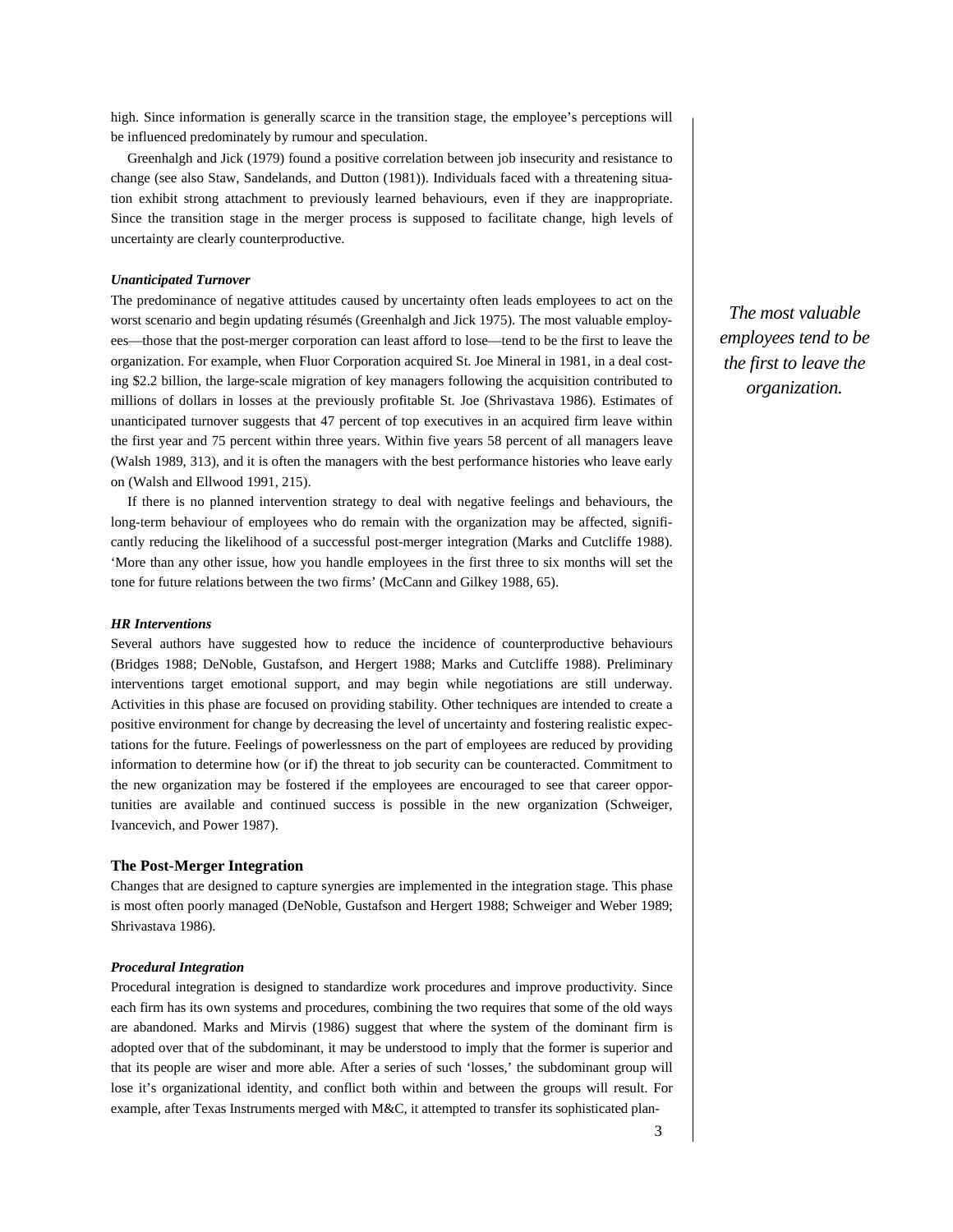high. Since information is generally scarce in the transition stage, the employee's perceptions will be influenced predominately by rumour and speculation.

Greenhalgh and Jick (1979) found a positive correlation between job insecurity and resistance to change (see also Staw, Sandelands, and Dutton (1981)). Individuals faced with a threatening situation exhibit strong attachment to previously learned behaviours, even if they are inappropriate. Since the transition stage in the merger process is supposed to facilitate change, high levels of uncertainty are clearly counterproductive.

## *Unanticipated Turnover*

The predominance of negative attitudes caused by uncertainty often leads employees to act on the worst scenario and begin updating résumés (Greenhalgh and Jick 1975). The most valuable employees—those that the post-merger corporation can least afford to lose—tend to be the first to leave the organization. For example, when Fluor Corporation acquired St. Joe Mineral in 1981, in a deal costing \$2.2 billion, the large-scale migration of key managers following the acquisition contributed to millions of dollars in losses at the previously profitable St. Joe (Shrivastava 1986). Estimates of unanticipated turnover suggests that 47 percent of top executives in an acquired firm leave within the first year and 75 percent within three years. Within five years 58 percent of all managers leave (Walsh 1989, 313), and it is often the managers with the best performance histories who leave early on (Walsh and Ellwood 1991, 215).

If there is no planned intervention strategy to deal with negative feelings and behaviours, the long-term behaviour of employees who do remain with the organization may be affected, significantly reducing the likelihood of a successful post-merger integration (Marks and Cutcliffe 1988). 'More than any other issue, how you handle employees in the first three to six months will set the tone for future relations between the two firms' (McCann and Gilkey 1988, 65).

## *HR Interventions*

Several authors have suggested how to reduce the incidence of counterproductive behaviours (Bridges 1988; DeNoble, Gustafson, and Hergert 1988; Marks and Cutcliffe 1988). Preliminary interventions target emotional support, and may begin while negotiations are still underway. Activities in this phase are focused on providing stability. Other techniques are intended to create a positive environment for change by decreasing the level of uncertainty and fostering realistic expectations for the future. Feelings of powerlessness on the part of employees are reduced by providing information to determine how (or if) the threat to job security can be counteracted. Commitment to the new organization may be fostered if the employees are encouraged to see that career opportunities are available and continued success is possible in the new organization (Schweiger, Ivancevich, and Power 1987).

## **The Post-Merger Integration**

Changes that are designed to capture synergies are implemented in the integration stage. This phase is most often poorly managed (DeNoble, Gustafson and Hergert 1988; Schweiger and Weber 1989; Shrivastava 1986).

### *Procedural Integration*

Procedural integration is designed to standardize work procedures and improve productivity. Since each firm has its own systems and procedures, combining the two requires that some of the old ways are abandoned. Marks and Mirvis (1986) suggest that where the system of the dominant firm is adopted over that of the subdominant, it may be understood to imply that the former is superior and that its people are wiser and more able. After a series of such 'losses,' the subdominant group will lose it's organizational identity, and conflict both within and between the groups will result. For example, after Texas Instruments merged with M&C, it attempted to transfer its sophisticated plan-

*The most valuable employees tend to be the first to leave the organization.*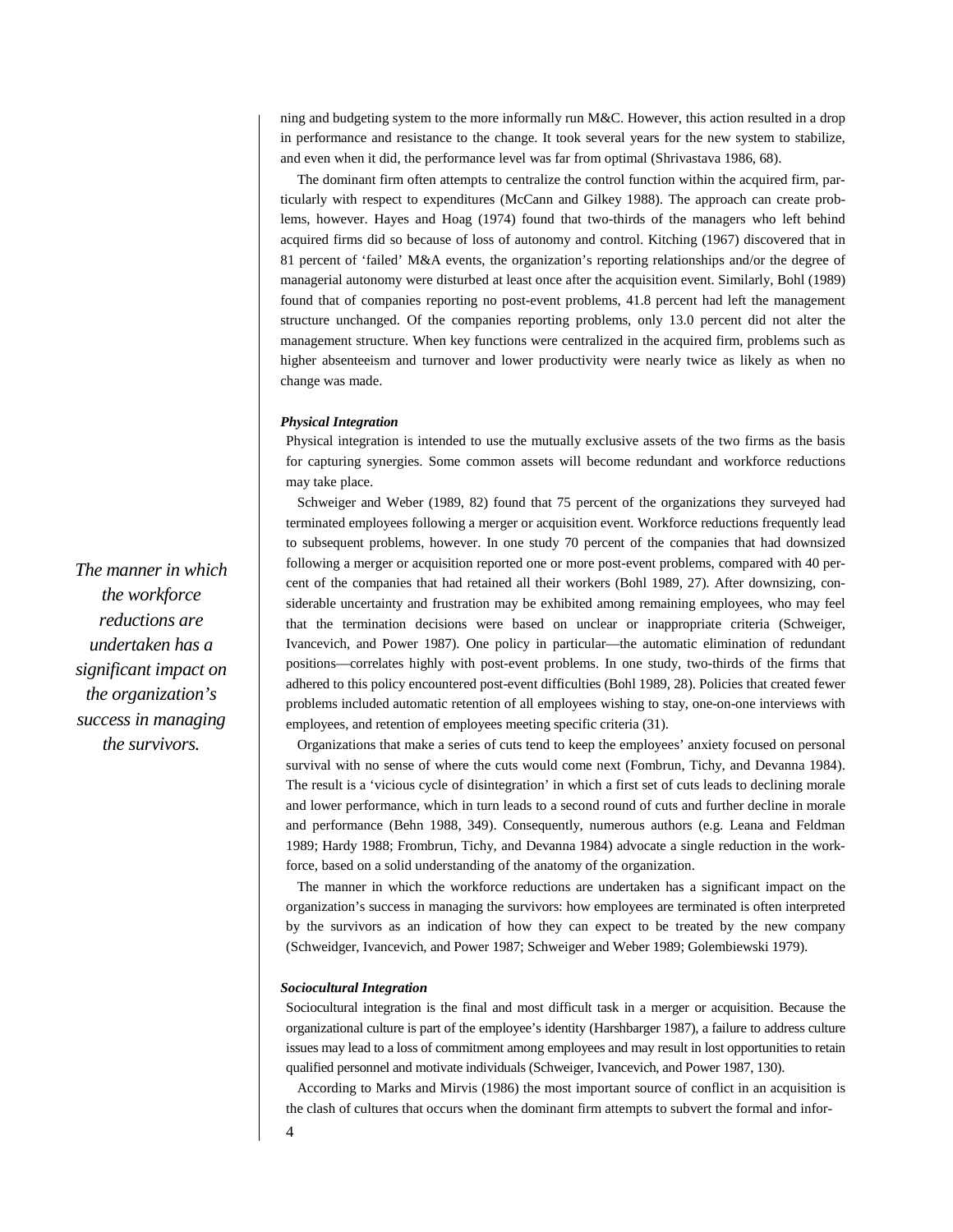ning and budgeting system to the more informally run M&C. However, this action resulted in a drop in performance and resistance to the change. It took several years for the new system to stabilize, and even when it did, the performance level was far from optimal (Shrivastava 1986, 68).

The dominant firm often attempts to centralize the control function within the acquired firm, particularly with respect to expenditures (McCann and Gilkey 1988). The approach can create problems, however. Hayes and Hoag (1974) found that two-thirds of the managers who left behind acquired firms did so because of loss of autonomy and control. Kitching (1967) discovered that in 81 percent of 'failed' M&A events, the organization's reporting relationships and/or the degree of managerial autonomy were disturbed at least once after the acquisition event. Similarly, Bohl (1989) found that of companies reporting no post-event problems, 41.8 percent had left the management structure unchanged. Of the companies reporting problems, only 13.0 percent did not alter the management structure. When key functions were centralized in the acquired firm, problems such as higher absenteeism and turnover and lower productivity were nearly twice as likely as when no change was made.

### *Physical Integration*

Physical integration is intended to use the mutually exclusive assets of the two firms as the basis for capturing synergies. Some common assets will become redundant and workforce reductions may take place.

Schweiger and Weber (1989, 82) found that 75 percent of the organizations they surveyed had terminated employees following a merger or acquisition event. Workforce reductions frequently lead to subsequent problems, however. In one study 70 percent of the companies that had downsized following a merger or acquisition reported one or more post-event problems, compared with 40 percent of the companies that had retained all their workers (Bohl 1989, 27). After downsizing, considerable uncertainty and frustration may be exhibited among remaining employees, who may feel that the termination decisions were based on unclear or inappropriate criteria (Schweiger, Ivancevich, and Power 1987). One policy in particular—the automatic elimination of redundant positions—correlates highly with post-event problems. In one study, two-thirds of the firms that adhered to this policy encountered post-event difficulties (Bohl 1989, 28). Policies that created fewer problems included automatic retention of all employees wishing to stay, one-on-one interviews with employees, and retention of employees meeting specific criteria (31).

Organizations that make a series of cuts tend to keep the employees' anxiety focused on personal survival with no sense of where the cuts would come next (Fombrun, Tichy, and Devanna 1984). The result is a 'vicious cycle of disintegration' in which a first set of cuts leads to declining morale and lower performance, which in turn leads to a second round of cuts and further decline in morale and performance (Behn 1988, 349). Consequently, numerous authors (e.g. Leana and Feldman 1989; Hardy 1988; Frombrun, Tichy, and Devanna 1984) advocate a single reduction in the workforce, based on a solid understanding of the anatomy of the organization.

The manner in which the workforce reductions are undertaken has a significant impact on the organization's success in managing the survivors: how employees are terminated is often interpreted by the survivors as an indication of how they can expect to be treated by the new company (Schweidger, Ivancevich, and Power 1987; Schweiger and Weber 1989; Golembiewski 1979).

#### *Sociocultural Integration*

Sociocultural integration is the final and most difficult task in a merger or acquisition. Because the organizational culture is part of the employee's identity (Harshbarger 1987), a failure to address culture issues may lead to a loss of commitment among employees and may result in lost opportunities to retain qualified personnel and motivate individuals (Schweiger, Ivancevich, and Power 1987, 130).

According to Marks and Mirvis (1986) the most important source of conflict in an acquisition is the clash of cultures that occurs when the dominant firm attempts to subvert the formal and infor-

*The manner in which the workforce reductions are undertaken has a significant impact on the organization's success in managing the survivors.*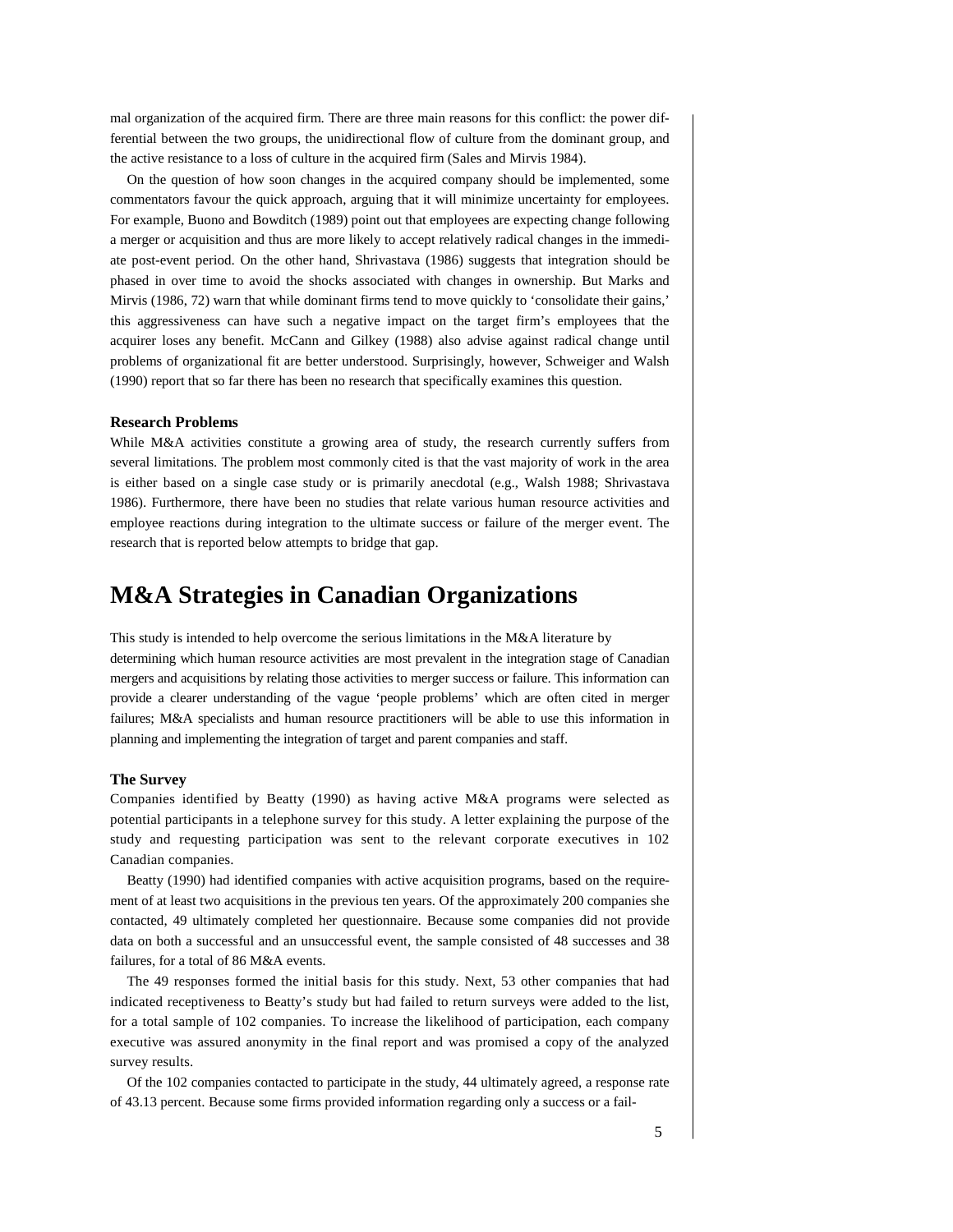mal organization of the acquired firm. There are three main reasons for this conflict: the power differential between the two groups, the unidirectional flow of culture from the dominant group, and the active resistance to a loss of culture in the acquired firm (Sales and Mirvis 1984).

On the question of how soon changes in the acquired company should be implemented, some commentators favour the quick approach, arguing that it will minimize uncertainty for employees. For example, Buono and Bowditch (1989) point out that employees are expecting change following a merger or acquisition and thus are more likely to accept relatively radical changes in the immediate post-event period. On the other hand, Shrivastava (1986) suggests that integration should be phased in over time to avoid the shocks associated with changes in ownership. But Marks and Mirvis (1986, 72) warn that while dominant firms tend to move quickly to 'consolidate their gains,' this aggressiveness can have such a negative impact on the target firm's employees that the acquirer loses any benefit. McCann and Gilkey (1988) also advise against radical change until problems of organizational fit are better understood. Surprisingly, however, Schweiger and Walsh (1990) report that so far there has been no research that specifically examines this question.

### **Research Problems**

While M&A activities constitute a growing area of study, the research currently suffers from several limitations. The problem most commonly cited is that the vast majority of work in the area is either based on a single case study or is primarily anecdotal (e.g., Walsh 1988; Shrivastava 1986). Furthermore, there have been no studies that relate various human resource activities and employee reactions during integration to the ultimate success or failure of the merger event. The research that is reported below attempts to bridge that gap.

## **M&A Strategies in Canadian Organizations**

This study is intended to help overcome the serious limitations in the M&A literature by determining which human resource activities are most prevalent in the integration stage of Canadian mergers and acquisitions by relating those activities to merger success or failure. This information can provide a clearer understanding of the vague 'people problems' which are often cited in merger failures; M&A specialists and human resource practitioners will be able to use this information in planning and implementing the integration of target and parent companies and staff.

### **The Survey**

Companies identified by Beatty (1990) as having active M&A programs were selected as potential participants in a telephone survey for this study. A letter explaining the purpose of the study and requesting participation was sent to the relevant corporate executives in 102 Canadian companies.

Beatty (1990) had identified companies with active acquisition programs, based on the requirement of at least two acquisitions in the previous ten years. Of the approximately 200 companies she contacted, 49 ultimately completed her questionnaire. Because some companies did not provide data on both a successful and an unsuccessful event, the sample consisted of 48 successes and 38 failures, for a total of 86 M&A events.

The 49 responses formed the initial basis for this study. Next, 53 other companies that had indicated receptiveness to Beatty's study but had failed to return surveys were added to the list, for a total sample of 102 companies. To increase the likelihood of participation, each company executive was assured anonymity in the final report and was promised a copy of the analyzed survey results.

Of the 102 companies contacted to participate in the study, 44 ultimately agreed, a response rate of 43.13 percent. Because some firms provided information regarding only a success or a fail-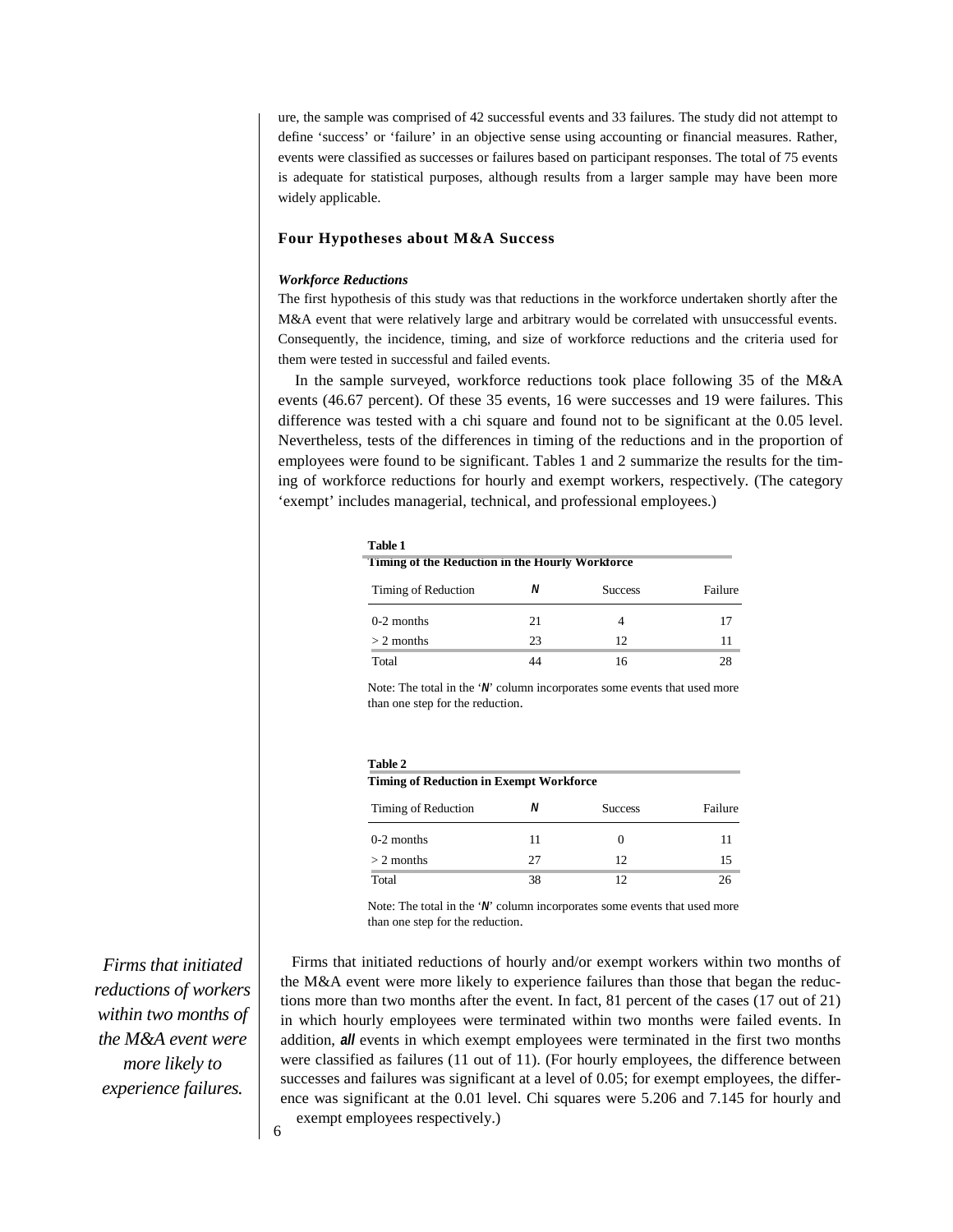ure, the sample was comprised of 42 successful events and 33 failures. The study did not attempt to define 'success' or 'failure' in an objective sense using accounting or financial measures. Rather, events were classified as successes or failures based on participant responses. The total of 75 events is adequate for statistical purposes, although results from a larger sample may have been more widely applicable.

## **Four Hypotheses about M&A Success**

## *Workforce Reductions*

The first hypothesis of this study was that reductions in the workforce undertaken shortly after the M&A event that were relatively large and arbitrary would be correlated with unsuccessful events. Consequently, the incidence, timing, and size of workforce reductions and the criteria used for them were tested in successful and failed events.

In the sample surveyed, workforce reductions took place following 35 of the M&A events (46.67 percent). Of these 35 events, 16 were successes and 19 were failures. This difference was tested with a chi square and found not to be significant at the 0.05 level. Nevertheless, tests of the differences in timing of the reductions and in the proportion of employees were found to be significant. Tables 1 and 2 summarize the results for the timing of workforce reductions for hourly and exempt workers, respectively. (The category 'exempt' includes managerial, technical, and professional employees.)

| Table 1                                         |    |                |         |
|-------------------------------------------------|----|----------------|---------|
| Timing of the Reduction in the Hourly Workforce |    |                |         |
| Timing of Reduction                             | Ν  | <b>Success</b> | Failure |
| $0-2$ months                                    | 21 | 4              | 17      |
| $> 2$ months                                    | 23 | 12             | 11      |
| Total                                           |    | 16             | 28      |

Note: The total in the '*N*' column incorporates some events that used more than one step for the reduction.

### **Table 2**

| Timing of Reduction | Ν  | <b>Success</b> | Failure |
|---------------------|----|----------------|---------|
| 0-2 months          | 11 |                |         |
| $> 2$ months        | 27 | 12             |         |
| Total               | 38 |                |         |

Note: The total in the '*N*' column incorporates some events that used more than one step for the reduction.

Firms that initiated reductions of hourly and/or exempt workers within two months of the M&A event were more likely to experience failures than those that began the reductions more than two months after the event. In fact, 81 percent of the cases (17 out of 21) in which hourly employees were terminated within two months were failed events. In addition, *all* events in which exempt employees were terminated in the first two months were classified as failures (11 out of 11). (For hourly employees, the difference between successes and failures was significant at a level of 0.05; for exempt employees, the difference was significant at the 0.01 level. Chi squares were 5.206 and 7.145 for hourly and exempt employees respectively.)

*Firms that initiated reductions of workers within two months of the M&A event were more likely to experience failures.*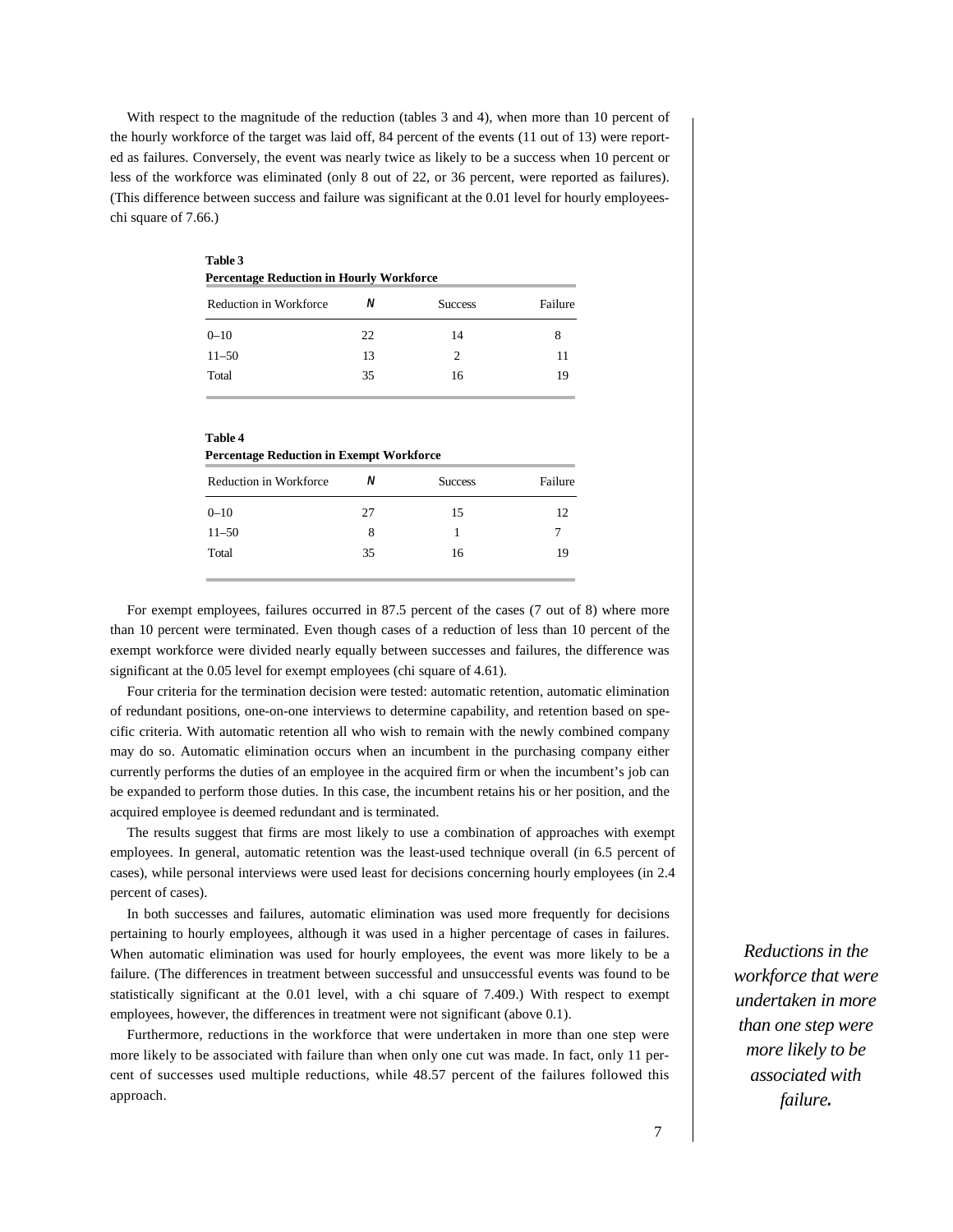With respect to the magnitude of the reduction (tables 3 and 4), when more than 10 percent of the hourly workforce of the target was laid off, 84 percent of the events (11 out of 13) were reported as failures. Conversely, the event was nearly twice as likely to be a success when 10 percent or less of the workforce was eliminated (only 8 out of 22, or 36 percent, were reported as failures). (This difference between success and failure was significant at the 0.01 level for hourly employeeschi square of 7.66.)

| Table 3<br><b>Percentage Reduction in Hourly Workforce</b> |    |                             |         |
|------------------------------------------------------------|----|-----------------------------|---------|
| Reduction in Workforce                                     | Ν  | <b>Success</b>              | Failure |
| $0 - 10$                                                   | 22 | 14                          | 8       |
| $11 - 50$                                                  | 13 | $\mathcal{D}_{\mathcal{L}}$ | 11      |
| Total                                                      | 35 | 16                          | 19      |

| Table 4                                         |  |
|-------------------------------------------------|--|
| <b>Percentage Reduction in Exempt Workforce</b> |  |

| Reduction in Workforce | N  | <b>Success</b> | Failure |
|------------------------|----|----------------|---------|
| $0 - 10$               | 27 | 15             | 12      |
| $11 - 50$              | 8  |                |         |
| Total                  | 35 | 16             | 19      |

For exempt employees, failures occurred in 87.5 percent of the cases (7 out of 8) where more than 10 percent were terminated. Even though cases of a reduction of less than 10 percent of the exempt workforce were divided nearly equally between successes and failures, the difference was significant at the 0.05 level for exempt employees (chi square of 4.61).

Four criteria for the termination decision were tested: automatic retention, automatic elimination of redundant positions, one-on-one interviews to determine capability, and retention based on specific criteria. With automatic retention all who wish to remain with the newly combined company may do so. Automatic elimination occurs when an incumbent in the purchasing company either currently performs the duties of an employee in the acquired firm or when the incumbent's job can be expanded to perform those duties. In this case, the incumbent retains his or her position, and the acquired employee is deemed redundant and is terminated.

The results suggest that firms are most likely to use a combination of approaches with exempt employees. In general, automatic retention was the least-used technique overall (in 6.5 percent of cases), while personal interviews were used least for decisions concerning hourly employees (in 2.4 percent of cases).

In both successes and failures, automatic elimination was used more frequently for decisions pertaining to hourly employees, although it was used in a higher percentage of cases in failures. When automatic elimination was used for hourly employees, the event was more likely to be a failure. (The differences in treatment between successful and unsuccessful events was found to be statistically significant at the 0.01 level, with a chi square of 7.409.) With respect to exempt employees, however, the differences in treatment were not significant (above 0.1).

Furthermore, reductions in the workforce that were undertaken in more than one step were more likely to be associated with failure than when only one cut was made. In fact, only 11 percent of successes used multiple reductions, while 48.57 percent of the failures followed this approach.

*Reductions in the workforce that were undertaken in more than one step were more likely to be associated with failure.*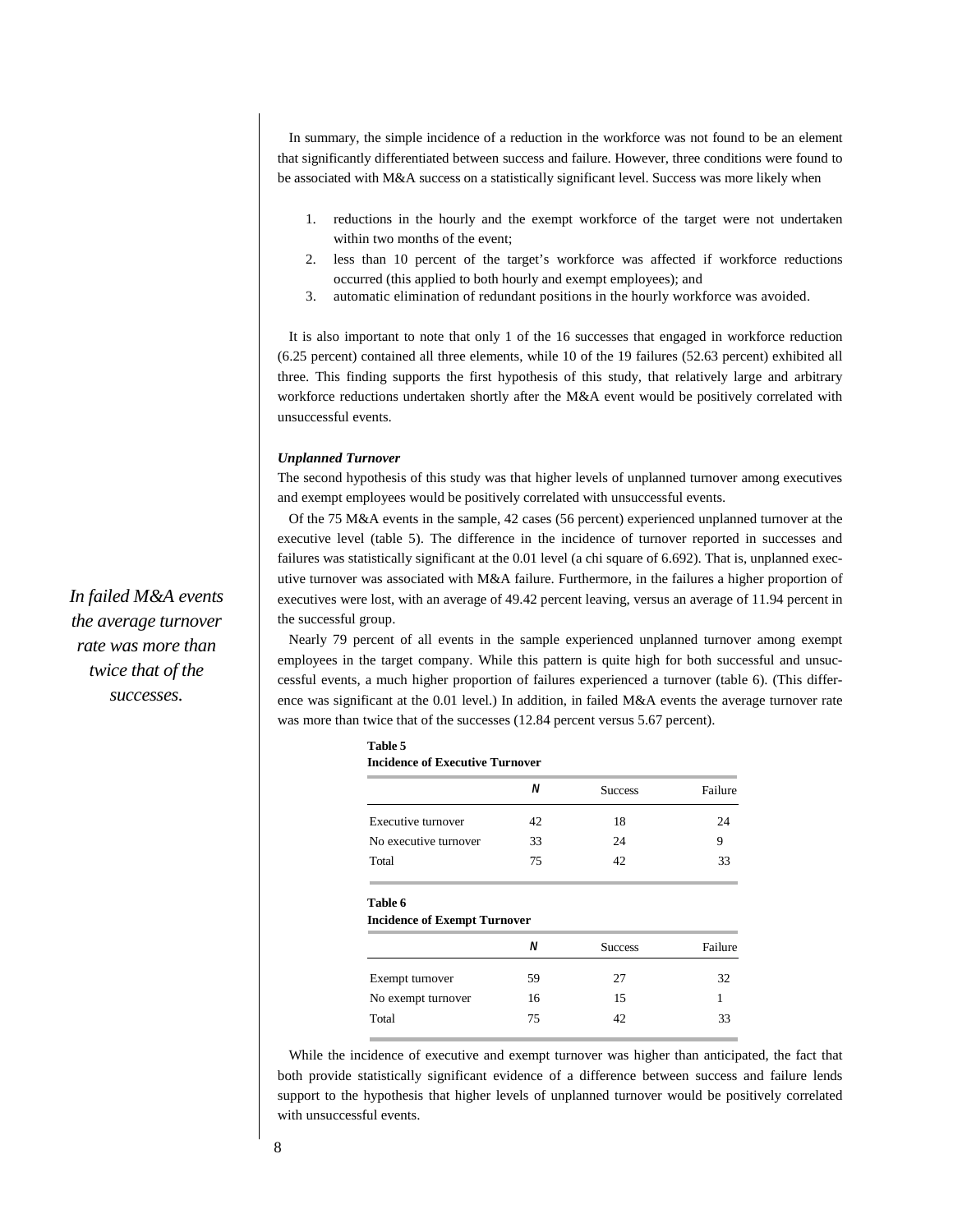In summary, the simple incidence of a reduction in the workforce was not found to be an element that significantly differentiated between success and failure. However, three conditions were found to be associated with M&A success on a statistically significant level. Success was more likely when

- 1. reductions in the hourly and the exempt workforce of the target were not undertaken within two months of the event;
- 2. less than 10 percent of the target's workforce was affected if workforce reductions occurred (this applied to both hourly and exempt employees); and
- 3. automatic elimination of redundant positions in the hourly workforce was avoided.

It is also important to note that only 1 of the 16 successes that engaged in workforce reduction (6.25 percent) contained all three elements, while 10 of the 19 failures (52.63 percent) exhibited all three. This finding supports the first hypothesis of this study, that relatively large and arbitrary workforce reductions undertaken shortly after the M&A event would be positively correlated with unsuccessful events.

## *Unplanned Turnover*

The second hypothesis of this study was that higher levels of unplanned turnover among executives and exempt employees would be positively correlated with unsuccessful events.

Of the 75 M&A events in the sample, 42 cases (56 percent) experienced unplanned turnover at the executive level (table 5). The difference in the incidence of turnover reported in successes and failures was statistically significant at the 0.01 level (a chi square of 6.692). That is, unplanned executive turnover was associated with M&A failure. Furthermore, in the failures a higher proportion of executives were lost, with an average of 49.42 percent leaving, versus an average of 11.94 percent in the successful group.

Nearly 79 percent of all events in the sample experienced unplanned turnover among exempt employees in the target company. While this pattern is quite high for both successful and unsuccessful events, a much higher proportion of failures experienced a turnover (table 6). (This difference was significant at the 0.01 level.) In addition, in failed M&A events the average turnover rate was more than twice that of the successes (12.84 percent versus 5.67 percent).

| Table 5                                |
|----------------------------------------|
| <b>Incidence of Executive Turnover</b> |

|                       | Ν  | <b>Success</b> | Failure |
|-----------------------|----|----------------|---------|
| Executive turnover    | 42 | 18             | 24      |
| No executive turnover | 33 | 24             |         |
| Total                 | 75 |                | 33      |

#### **Table 6**

### **Incidence of Exempt Turnover**

|                    | Ν  | <b>Success</b> | Failure |
|--------------------|----|----------------|---------|
| Exempt turnover    | 59 | 27             | 32      |
| No exempt turnover | 16 | 15             |         |
| Total              | 75 | 42             | 33      |

While the incidence of executive and exempt turnover was higher than anticipated, the fact that both provide statistically significant evidence of a difference between success and failure lends support to the hypothesis that higher levels of unplanned turnover would be positively correlated with unsuccessful events.

*In failed M&A events the average turnover rate was more than twice that of the successes.*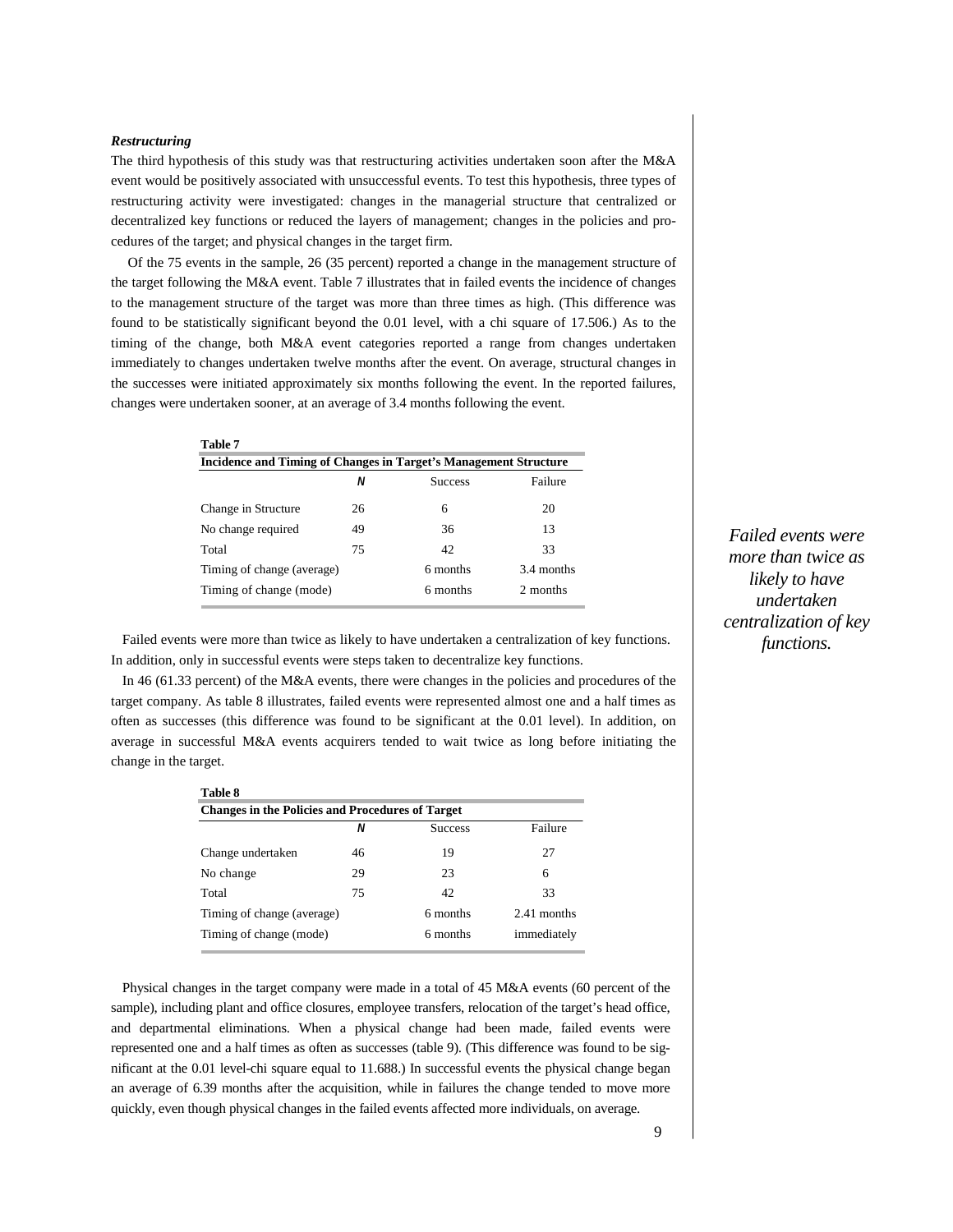## *Restructuring*

The third hypothesis of this study was that restructuring activities undertaken soon after the M&A event would be positively associated with unsuccessful events. To test this hypothesis, three types of restructuring activity were investigated: changes in the managerial structure that centralized or decentralized key functions or reduced the layers of management; changes in the policies and procedures of the target; and physical changes in the target firm.

Of the 75 events in the sample, 26 (35 percent) reported a change in the management structure of the target following the M&A event. Table 7 illustrates that in failed events the incidence of changes to the management structure of the target was more than three times as high. (This difference was found to be statistically significant beyond the 0.01 level, with a chi square of 17.506.) As to the timing of the change, both M&A event categories reported a range from changes undertaken immediately to changes undertaken twelve months after the event. On average, structural changes in the successes were initiated approximately six months following the event. In the reported failures, changes were undertaken sooner, at an average of 3.4 months following the event.

| Table 7                                                          |    |                |            |  |
|------------------------------------------------------------------|----|----------------|------------|--|
| Incidence and Timing of Changes in Target's Management Structure |    |                |            |  |
|                                                                  | Ν  | <b>Success</b> | Failure    |  |
| Change in Structure                                              | 26 | 6              | 20         |  |
| No change required                                               | 49 | 36             | 13         |  |
| Total                                                            | 75 | 42             | 33         |  |
| Timing of change (average)                                       |    | 6 months       | 3.4 months |  |
| Timing of change (mode)                                          |    | 6 months       | 2 months   |  |

Failed events were more than twice as likely to have undertaken a centralization of key functions. In addition, only in successful events were steps taken to decentralize key functions.

In 46 (61.33 percent) of the M&A events, there were changes in the policies and procedures of the target company. As table 8 illustrates, failed events were represented almost one and a half times as often as successes (this difference was found to be significant at the 0.01 level). In addition, on average in successful M&A events acquirers tended to wait twice as long before initiating the change in the target.

| Table 8                                                 |    |                |             |  |
|---------------------------------------------------------|----|----------------|-------------|--|
| <b>Changes in the Policies and Procedures of Target</b> |    |                |             |  |
|                                                         | Ν  | <b>Success</b> | Failure     |  |
| Change undertaken                                       | 46 | 19             | 27          |  |
| No change                                               | 29 | 23             | 6           |  |
| Total                                                   | 75 | 42             | 33          |  |
| Timing of change (average)                              |    | 6 months       | 2.41 months |  |
| Timing of change (mode)                                 |    | 6 months       | immediately |  |

Physical changes in the target company were made in a total of 45 M&A events (60 percent of the sample), including plant and office closures, employee transfers, relocation of the target's head office, and departmental eliminations. When a physical change had been made, failed events were represented one and a half times as often as successes (table 9). (This difference was found to be significant at the 0.01 level-chi square equal to 11.688.) In successful events the physical change began an average of 6.39 months after the acquisition, while in failures the change tended to move more quickly, even though physical changes in the failed events affected more individuals, on average.

*Failed events were more than twice as likely to have undertaken centralization of key functions.*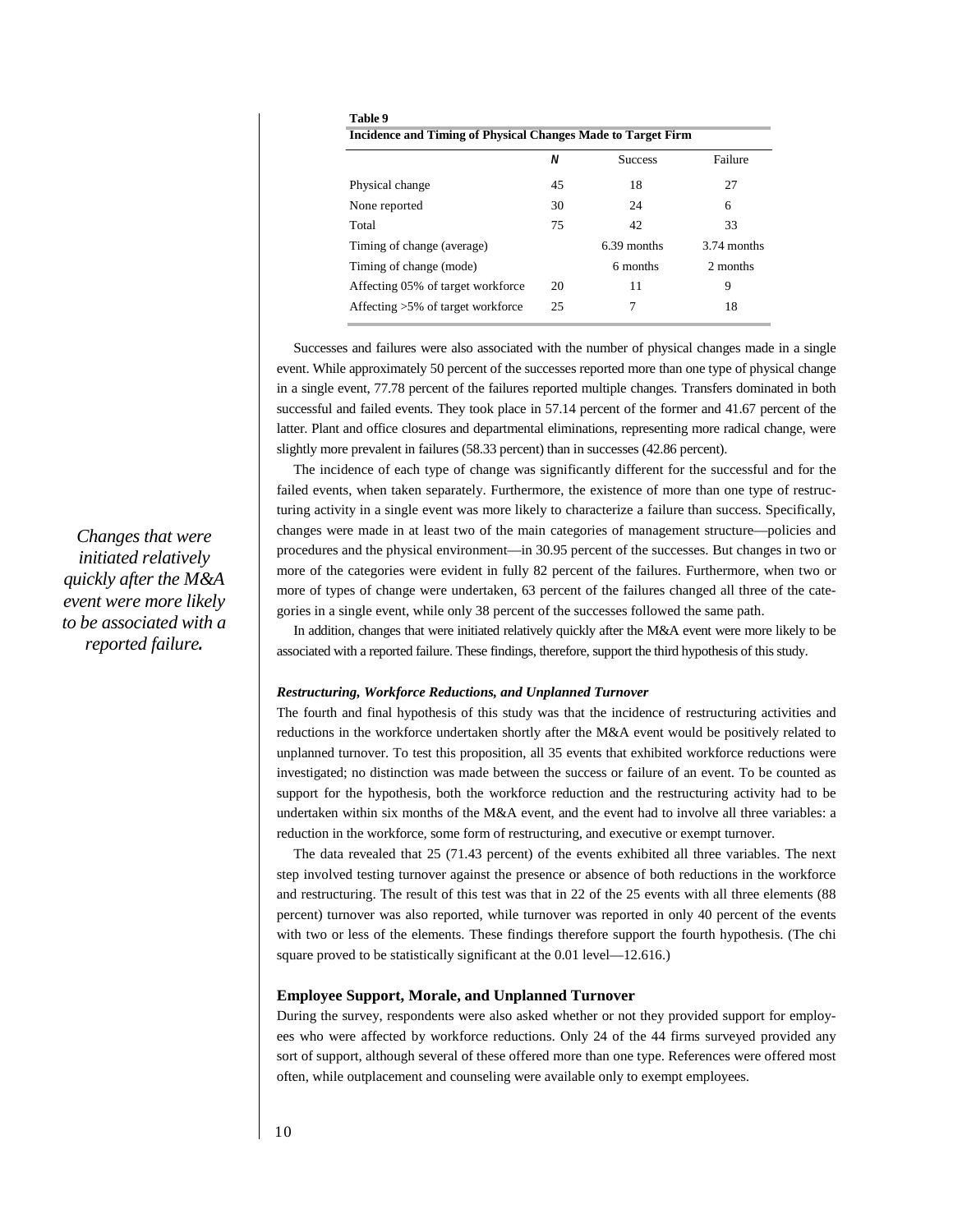|                                   | N  | <b>Success</b> | Failure     |
|-----------------------------------|----|----------------|-------------|
| Physical change                   | 45 | 18             | 27          |
| None reported                     | 30 | 24             | 6           |
| Total                             | 75 | 42             | 33          |
| Timing of change (average)        |    | 6.39 months    | 3.74 months |
| Timing of change (mode)           |    | 6 months       | 2 months    |
| Affecting 05% of target workforce | 20 | 11             | 9           |
| Affecting >5% of target workforce | 25 |                | 18          |

Successes and failures were also associated with the number of physical changes made in a single event. While approximately 50 percent of the successes reported more than one type of physical change in a single event, 77.78 percent of the failures reported multiple changes. Transfers dominated in both successful and failed events. They took place in 57.14 percent of the former and 41.67 percent of the latter. Plant and office closures and departmental eliminations, representing more radical change, were slightly more prevalent in failures (58.33 percent) than in successes (42.86 percent).

The incidence of each type of change was significantly different for the successful and for the failed events, when taken separately. Furthermore, the existence of more than one type of restructuring activity in a single event was more likely to characterize a failure than success. Specifically, changes were made in at least two of the main categories of management structure—policies and procedures and the physical environment—in 30.95 percent of the successes. But changes in two or more of the categories were evident in fully 82 percent of the failures. Furthermore, when two or more of types of change were undertaken, 63 percent of the failures changed all three of the categories in a single event, while only 38 percent of the successes followed the same path.

In addition, changes that were initiated relatively quickly after the M&A event were more likely to be associated with a reported failure. These findings, therefore, support the third hypothesis of this study.

## *Restructuring, Workforce Reductions, and Unplanned Turnover*

The fourth and final hypothesis of this study was that the incidence of restructuring activities and reductions in the workforce undertaken shortly after the M&A event would be positively related to unplanned turnover. To test this proposition, all 35 events that exhibited workforce reductions were investigated; no distinction was made between the success or failure of an event. To be counted as support for the hypothesis, both the workforce reduction and the restructuring activity had to be undertaken within six months of the M&A event, and the event had to involve all three variables: a reduction in the workforce, some form of restructuring, and executive or exempt turnover.

The data revealed that 25 (71.43 percent) of the events exhibited all three variables. The next step involved testing turnover against the presence or absence of both reductions in the workforce and restructuring. The result of this test was that in 22 of the 25 events with all three elements (88 percent) turnover was also reported, while turnover was reported in only 40 percent of the events with two or less of the elements. These findings therefore support the fourth hypothesis. (The chi square proved to be statistically significant at the 0.01 level—12.616.)

## **Employee Support, Morale, and Unplanned Turnover**

During the survey, respondents were also asked whether or not they provided support for employees who were affected by workforce reductions. Only 24 of the 44 firms surveyed provided any sort of support, although several of these offered more than one type. References were offered most often, while outplacement and counseling were available only to exempt employees.

*Changes that were initiated relatively quickly after the M&A event were more likely to be associated with a reported failure.*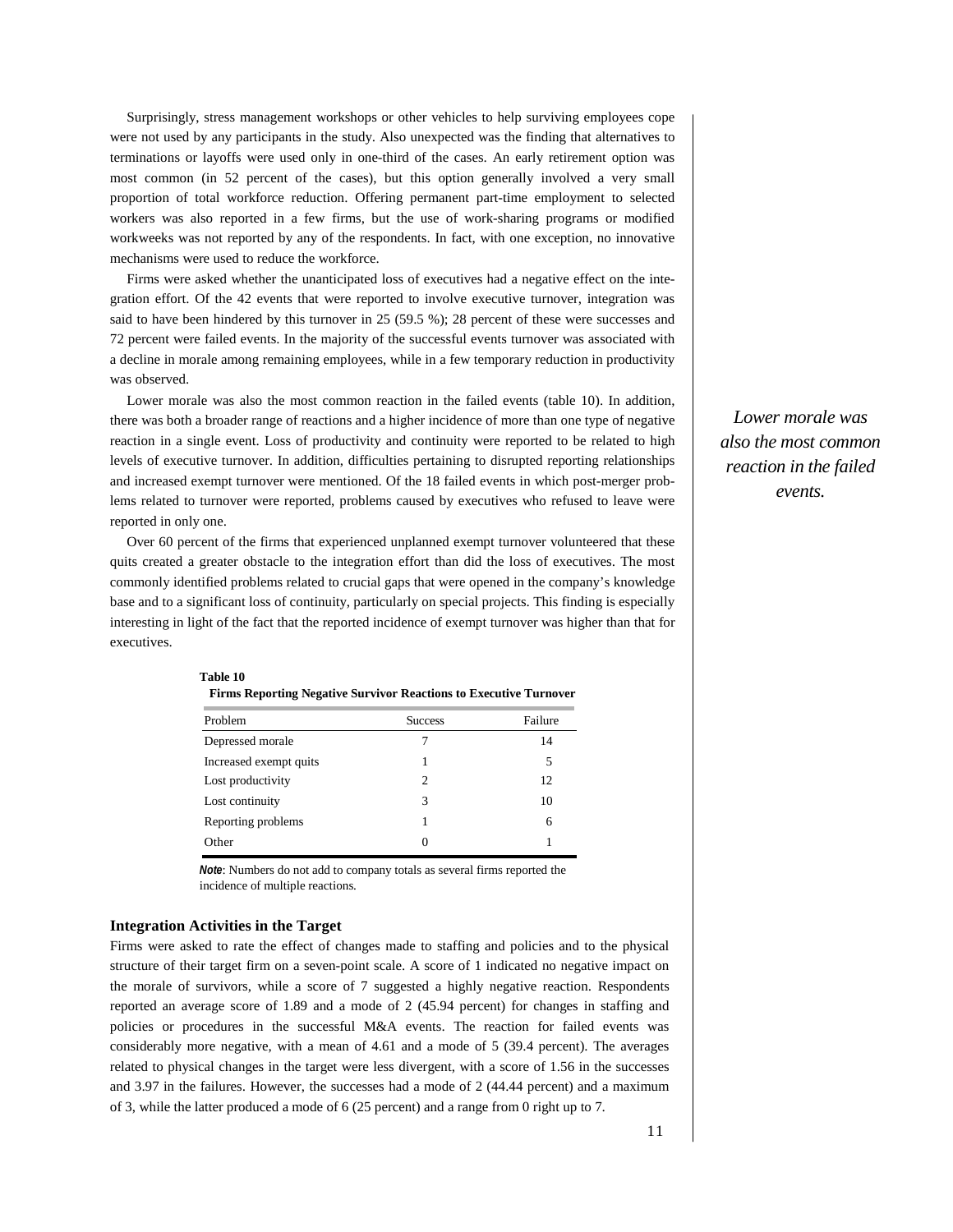Surprisingly, stress management workshops or other vehicles to help surviving employees cope were not used by any participants in the study. Also unexpected was the finding that alternatives to terminations or layoffs were used only in one-third of the cases. An early retirement option was most common (in 52 percent of the cases), but this option generally involved a very small proportion of total workforce reduction. Offering permanent part-time employment to selected workers was also reported in a few firms, but the use of work-sharing programs or modified workweeks was not reported by any of the respondents. In fact, with one exception, no innovative mechanisms were used to reduce the workforce.

Firms were asked whether the unanticipated loss of executives had a negative effect on the integration effort. Of the 42 events that were reported to involve executive turnover, integration was said to have been hindered by this turnover in 25 (59.5 %); 28 percent of these were successes and 72 percent were failed events. In the majority of the successful events turnover was associated with a decline in morale among remaining employees, while in a few temporary reduction in productivity was observed.

Lower morale was also the most common reaction in the failed events (table 10). In addition, there was both a broader range of reactions and a higher incidence of more than one type of negative reaction in a single event. Loss of productivity and continuity were reported to be related to high levels of executive turnover. In addition, difficulties pertaining to disrupted reporting relationships and increased exempt turnover were mentioned. Of the 18 failed events in which post-merger problems related to turnover were reported, problems caused by executives who refused to leave were reported in only one.

Over 60 percent of the firms that experienced unplanned exempt turnover volunteered that these quits created a greater obstacle to the integration effort than did the loss of executives. The most commonly identified problems related to crucial gaps that were opened in the company's knowledge base and to a significant loss of continuity, particularly on special projects. This finding is especially interesting in light of the fact that the reported incidence of exempt turnover was higher than that for executives.

| <b>Firms Reporting Negative Survivor Reactions to Executive Turnover</b> |                             |         |
|--------------------------------------------------------------------------|-----------------------------|---------|
| Problem                                                                  | <b>Success</b>              | Failure |
| Depressed morale                                                         |                             | 14      |
| Increased exempt quits                                                   |                             | 5       |
| Lost productivity                                                        | $\mathcal{D}_{\mathcal{L}}$ | 12      |
| Lost continuity                                                          | 3                           | 10      |
| Reporting problems                                                       |                             | 6       |
| Other                                                                    | $\Omega$                    |         |

*Note*: Numbers do not add to company totals as several firms reported the incidence of multiple reactions.

## **Integration Activities in the Target**

**Table 10**

Firms were asked to rate the effect of changes made to staffing and policies and to the physical structure of their target firm on a seven-point scale. A score of 1 indicated no negative impact on the morale of survivors, while a score of 7 suggested a highly negative reaction. Respondents reported an average score of 1.89 and a mode of 2 (45.94 percent) for changes in staffing and policies or procedures in the successful M&A events. The reaction for failed events was considerably more negative, with a mean of 4.61 and a mode of 5 (39.4 percent). The averages related to physical changes in the target were less divergent, with a score of 1.56 in the successes and 3.97 in the failures. However, the successes had a mode of 2 (44.44 percent) and a maximum of 3, while the latter produced a mode of 6 (25 percent) and a range from 0 right up to 7.

*Lower morale was also the most common reaction in the failed events.*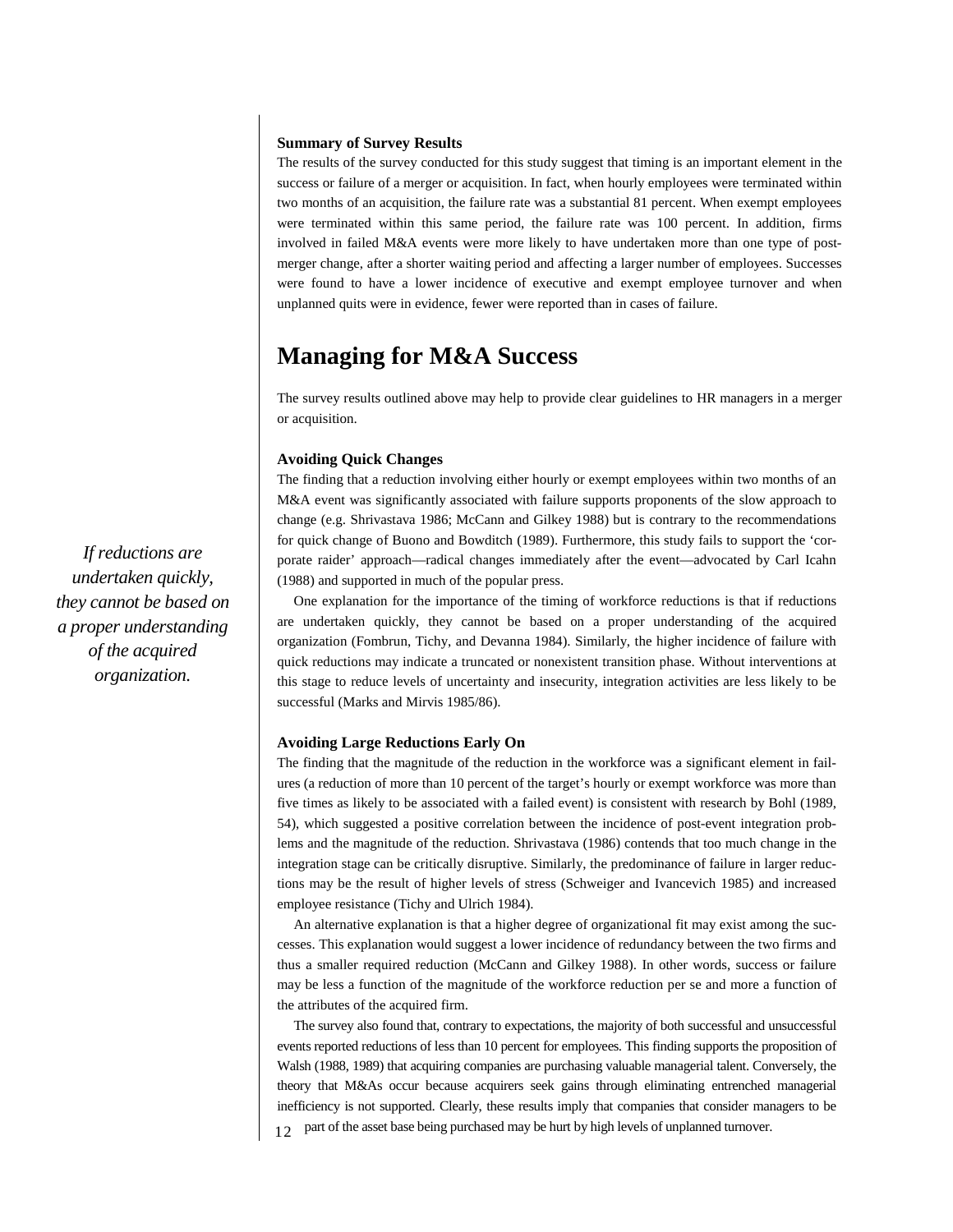## **Summary of Survey Results**

The results of the survey conducted for this study suggest that timing is an important element in the success or failure of a merger or acquisition. In fact, when hourly employees were terminated within two months of an acquisition, the failure rate was a substantial 81 percent. When exempt employees were terminated within this same period, the failure rate was 100 percent. In addition, firms involved in failed M&A events were more likely to have undertaken more than one type of postmerger change, after a shorter waiting period and affecting a larger number of employees. Successes were found to have a lower incidence of executive and exempt employee turnover and when unplanned quits were in evidence, fewer were reported than in cases of failure.

## **Managing for M&A Success**

The survey results outlined above may help to provide clear guidelines to HR managers in a merger or acquisition.

## **Avoiding Quick Changes**

The finding that a reduction involving either hourly or exempt employees within two months of an M&A event was significantly associated with failure supports proponents of the slow approach to change (e.g. Shrivastava 1986; McCann and Gilkey 1988) but is contrary to the recommendations for quick change of Buono and Bowditch (1989). Furthermore, this study fails to support the 'corporate raider' approach—radical changes immediately after the event—advocated by Carl Icahn (1988) and supported in much of the popular press.

One explanation for the importance of the timing of workforce reductions is that if reductions are undertaken quickly, they cannot be based on a proper understanding of the acquired organization (Fombrun, Tichy, and Devanna 1984). Similarly, the higher incidence of failure with quick reductions may indicate a truncated or nonexistent transition phase. Without interventions at this stage to reduce levels of uncertainty and insecurity, integration activities are less likely to be successful (Marks and Mirvis 1985/86).

## **Avoiding Large Reductions Early On**

The finding that the magnitude of the reduction in the workforce was a significant element in failures (a reduction of more than 10 percent of the target's hourly or exempt workforce was more than five times as likely to be associated with a failed event) is consistent with research by Bohl (1989, 54), which suggested a positive correlation between the incidence of post-event integration problems and the magnitude of the reduction. Shrivastava (1986) contends that too much change in the integration stage can be critically disruptive. Similarly, the predominance of failure in larger reductions may be the result of higher levels of stress (Schweiger and Ivancevich 1985) and increased employee resistance (Tichy and Ulrich 1984).

An alternative explanation is that a higher degree of organizational fit may exist among the successes. This explanation would suggest a lower incidence of redundancy between the two firms and thus a smaller required reduction (McCann and Gilkey 1988). In other words, success or failure may be less a function of the magnitude of the workforce reduction per se and more a function of the attributes of the acquired firm.

12 The survey also found that, contrary to expectations, the majority of both successful and unsuccessful events reported reductions of less than 10 percent for employees. This finding supports the proposition of Walsh (1988, 1989) that acquiring companies are purchasing valuable managerial talent. Conversely, the theory that M&As occur because acquirers seek gains through eliminating entrenched managerial inefficiency is not supported. Clearly, these results imply that companies that consider managers to be part of the asset base being purchased may be hurt by high levels of unplanned turnover.

*If reductions are undertaken quickly, they cannot be based on a proper understanding of the acquired organization.*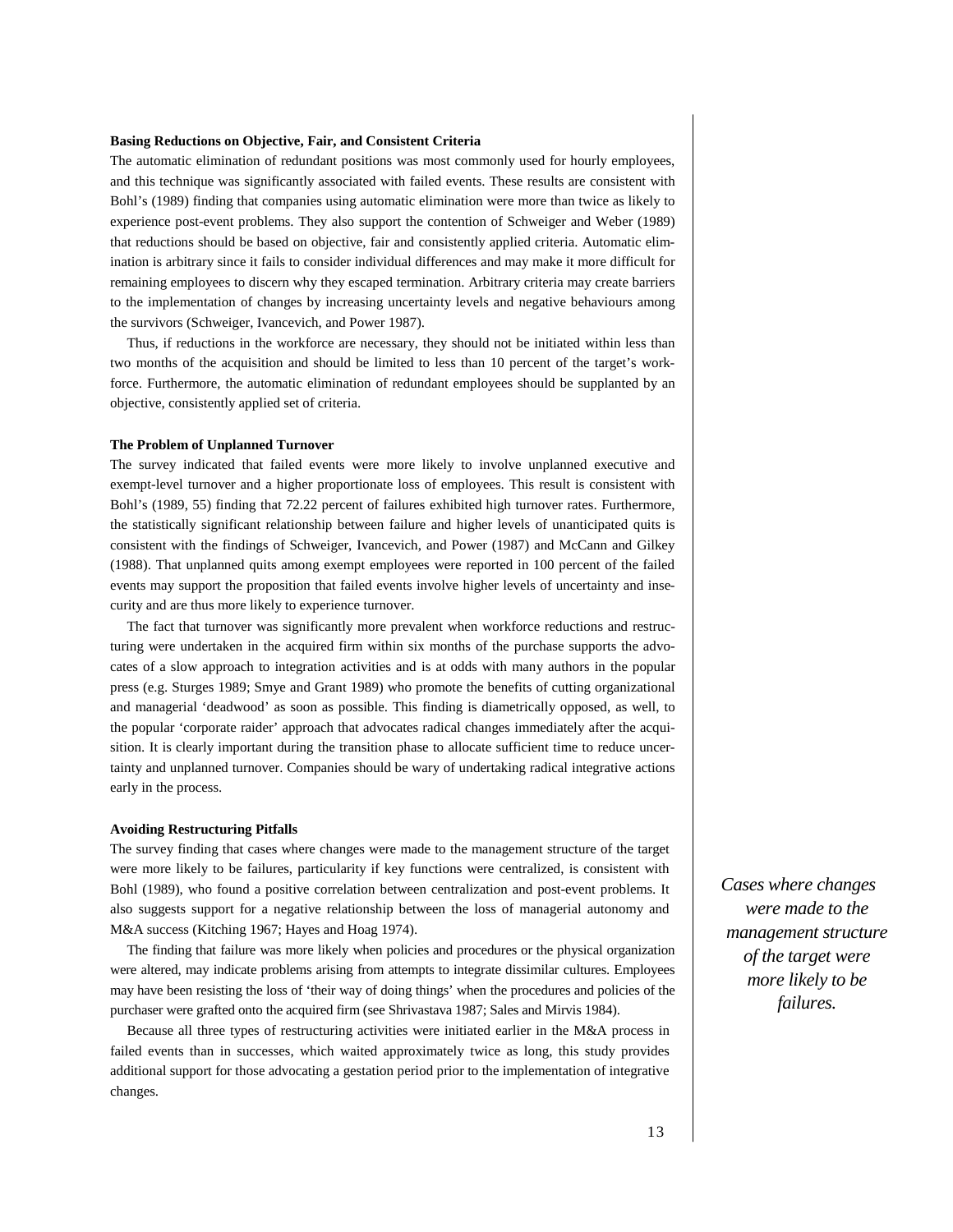#### **Basing Reductions on Objective, Fair, and Consistent Criteria**

The automatic elimination of redundant positions was most commonly used for hourly employees, and this technique was significantly associated with failed events. These results are consistent with Bohl's (1989) finding that companies using automatic elimination were more than twice as likely to experience post-event problems. They also support the contention of Schweiger and Weber (1989) that reductions should be based on objective, fair and consistently applied criteria. Automatic elimination is arbitrary since it fails to consider individual differences and may make it more difficult for remaining employees to discern why they escaped termination. Arbitrary criteria may create barriers to the implementation of changes by increasing uncertainty levels and negative behaviours among the survivors (Schweiger, Ivancevich, and Power 1987).

Thus, if reductions in the workforce are necessary, they should not be initiated within less than two months of the acquisition and should be limited to less than 10 percent of the target's workforce. Furthermore, the automatic elimination of redundant employees should be supplanted by an objective, consistently applied set of criteria.

## **The Problem of Unplanned Turnover**

The survey indicated that failed events were more likely to involve unplanned executive and exempt-level turnover and a higher proportionate loss of employees. This result is consistent with Bohl's (1989, 55) finding that 72.22 percent of failures exhibited high turnover rates. Furthermore, the statistically significant relationship between failure and higher levels of unanticipated quits is consistent with the findings of Schweiger, Ivancevich, and Power (1987) and McCann and Gilkey (1988). That unplanned quits among exempt employees were reported in 100 percent of the failed events may support the proposition that failed events involve higher levels of uncertainty and insecurity and are thus more likely to experience turnover.

The fact that turnover was significantly more prevalent when workforce reductions and restructuring were undertaken in the acquired firm within six months of the purchase supports the advocates of a slow approach to integration activities and is at odds with many authors in the popular press (e.g. Sturges 1989; Smye and Grant 1989) who promote the benefits of cutting organizational and managerial 'deadwood' as soon as possible. This finding is diametrically opposed, as well, to the popular 'corporate raider' approach that advocates radical changes immediately after the acquisition. It is clearly important during the transition phase to allocate sufficient time to reduce uncertainty and unplanned turnover. Companies should be wary of undertaking radical integrative actions early in the process.

## **Avoiding Restructuring Pitfalls**

The survey finding that cases where changes were made to the management structure of the target were more likely to be failures, particularity if key functions were centralized, is consistent with Bohl (1989), who found a positive correlation between centralization and post-event problems. It also suggests support for a negative relationship between the loss of managerial autonomy and M&A success (Kitching 1967; Hayes and Hoag 1974).

The finding that failure was more likely when policies and procedures or the physical organization were altered, may indicate problems arising from attempts to integrate dissimilar cultures. Employees may have been resisting the loss of 'their way of doing things' when the procedures and policies of the purchaser were grafted onto the acquired firm (see Shrivastava 1987; Sales and Mirvis 1984).

Because all three types of restructuring activities were initiated earlier in the M&A process in failed events than in successes, which waited approximately twice as long, this study provides additional support for those advocating a gestation period prior to the implementation of integrative changes.

*Cases where changes were made to the management structure of the target were more likely to be failures.*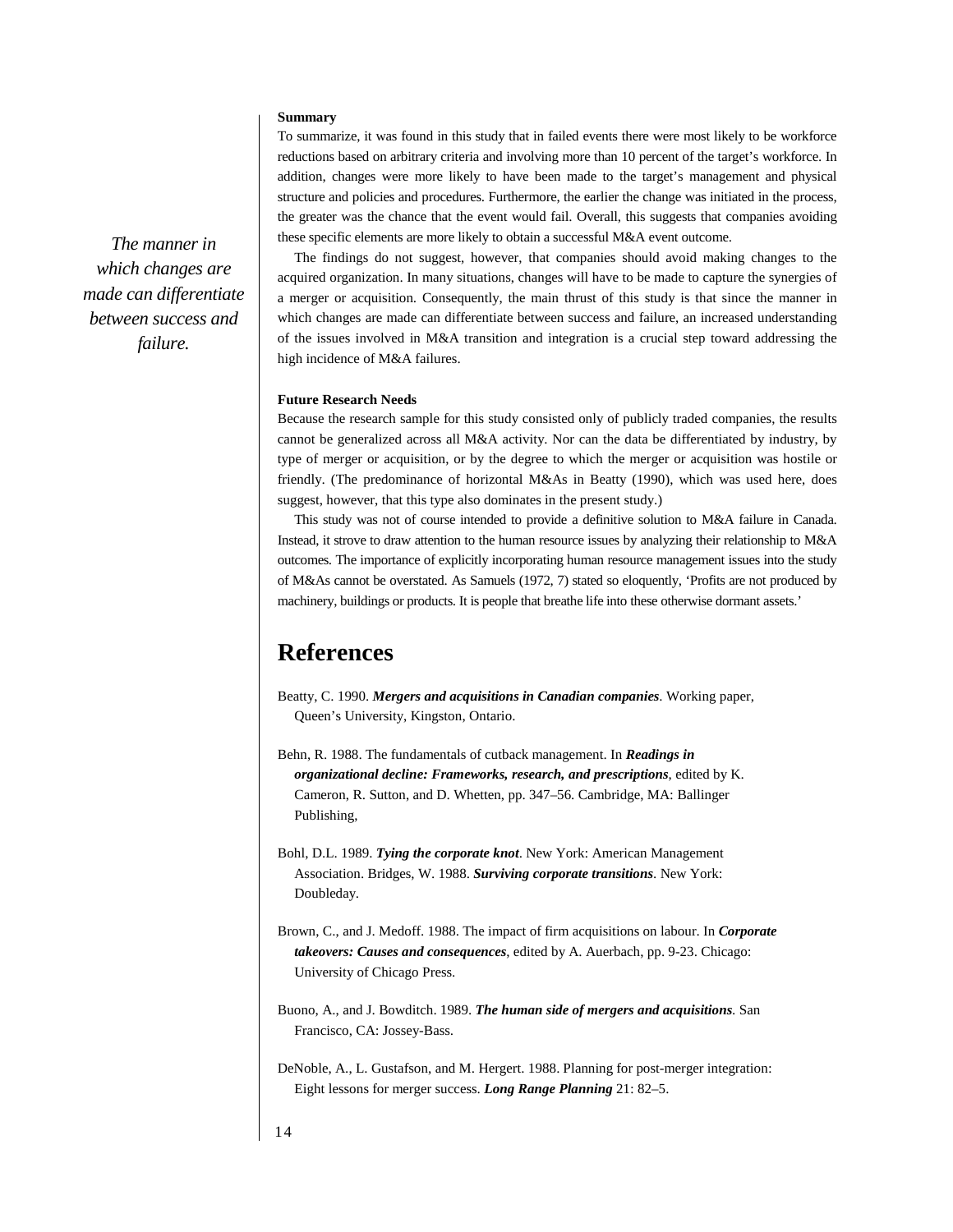## **Summary**

To summarize, it was found in this study that in failed events there were most likely to be workforce reductions based on arbitrary criteria and involving more than 10 percent of the target's workforce. In addition, changes were more likely to have been made to the target's management and physical structure and policies and procedures. Furthermore, the earlier the change was initiated in the process, the greater was the chance that the event would fail. Overall, this suggests that companies avoiding these specific elements are more likely to obtain a successful M&A event outcome.

The findings do not suggest, however, that companies should avoid making changes to the acquired organization. In many situations, changes will have to be made to capture the synergies of a merger or acquisition. Consequently, the main thrust of this study is that since the manner in which changes are made can differentiate between success and failure, an increased understanding of the issues involved in M&A transition and integration is a crucial step toward addressing the high incidence of M&A failures.

## **Future Research Needs**

Because the research sample for this study consisted only of publicly traded companies, the results cannot be generalized across all M&A activity. Nor can the data be differentiated by industry, by type of merger or acquisition, or by the degree to which the merger or acquisition was hostile or friendly. (The predominance of horizontal M&As in Beatty (1990), which was used here, does suggest, however, that this type also dominates in the present study.)

This study was not of course intended to provide a definitive solution to M&A failure in Canada. Instead, it strove to draw attention to the human resource issues by analyzing their relationship to M&A outcomes. The importance of explicitly incorporating human resource management issues into the study of M&As cannot be overstated. As Samuels (1972, 7) stated so eloquently, 'Profits are not produced by machinery, buildings or products. It is people that breathe life into these otherwise dormant assets.'

## **References**

- Beatty, C. 1990. *Mergers and acquisitions in Canadian companies*. Working paper, Queen's University, Kingston, Ontario.
- Behn, R. 1988. The fundamentals of cutback management. In *Readings in organizational decline: Frameworks, research, and prescriptions*, edited by K. Cameron, R. Sutton, and D. Whetten, pp. 347–56. Cambridge, MA: Ballinger Publishing,
- Bohl, D.L. 1989. *Tying the corporate knot*. New York: American Management Association. Bridges, W. 1988. *Surviving corporate transitions*. New York: Doubleday.
- Brown, C., and J. Medoff. 1988. The impact of firm acquisitions on labour. In *Corporate takeovers: Causes and consequences*, edited by A. Auerbach, pp. 9-23. Chicago: University of Chicago Press.
- Buono, A., and J. Bowditch. 1989. *The human side of mergers and acquisitions*. San Francisco, CA: Jossey-Bass.

DeNoble, A., L. Gustafson, and M. Hergert. 1988. Planning for post-merger integration: Eight lessons for merger success. *Long Range Planning* 21: 82–5.

*The manner in which changes are made can differentiate between success and failure.*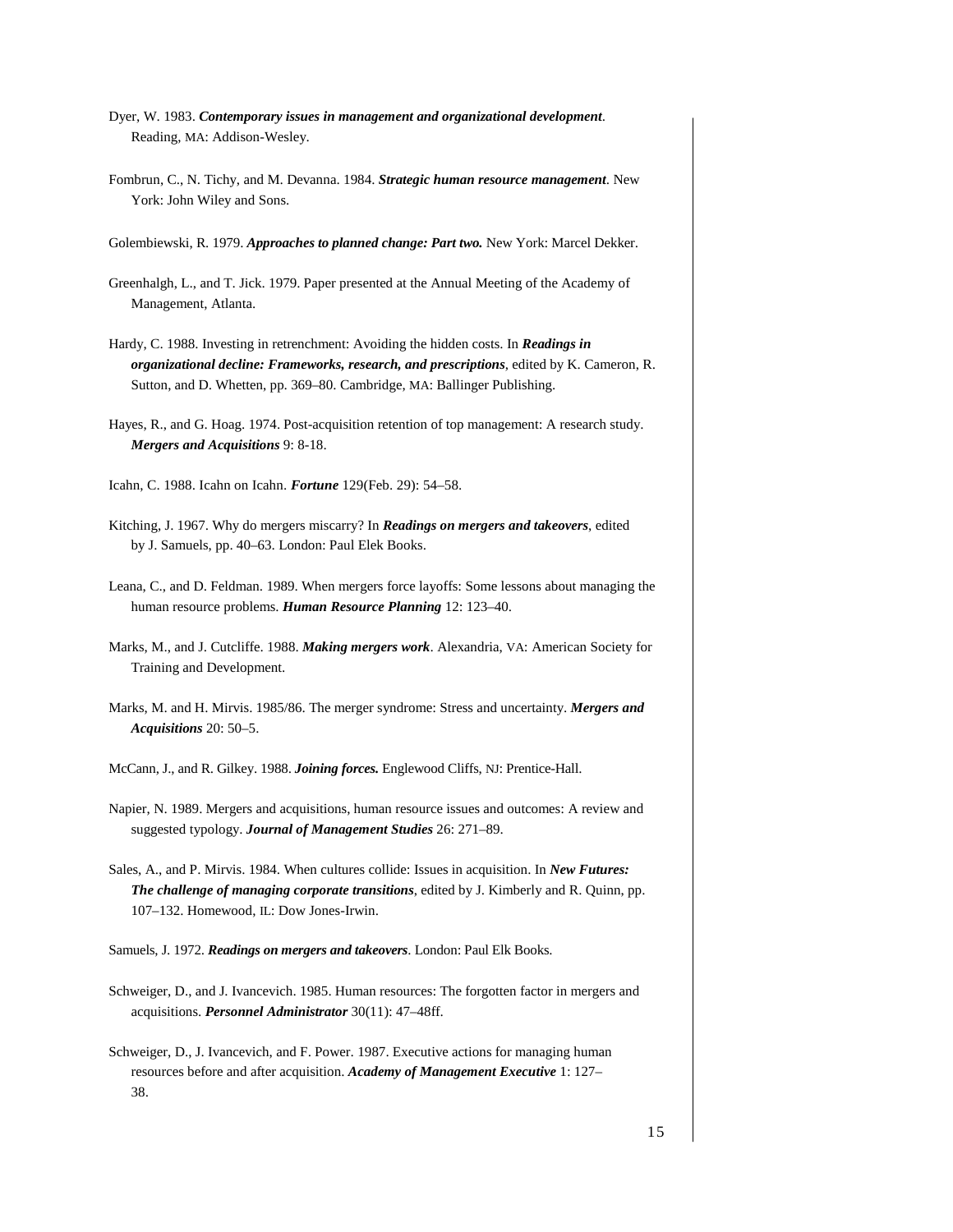- Dyer, W. 1983. *Contemporary issues in management and organizational development*. Reading, MA: Addison-Wesley.
- Fombrun, C., N. Tichy, and M. Devanna. 1984. *Strategic human resource management*. New York: John Wiley and Sons.
- Golembiewski, R. 1979. *Approaches to planned change: Part two.* New York: Marcel Dekker.
- Greenhalgh, L., and T. Jick. 1979. Paper presented at the Annual Meeting of the Academy of Management, Atlanta.
- Hardy, C. 1988. Investing in retrenchment: Avoiding the hidden costs. In *Readings in organizational decline: Frameworks, research, and prescriptions*, edited by K. Cameron, R. Sutton, and D. Whetten, pp. 369–80. Cambridge, MA: Ballinger Publishing.
- Hayes, R., and G. Hoag. 1974. Post-acquisition retention of top management: A research study. *Mergers and Acquisitions* 9: 8-18.
- Icahn, C. 1988. Icahn on Icahn. *Fortune* 129(Feb. 29): 54–58.
- Kitching, J. 1967. Why do mergers miscarry? In *Readings on mergers and takeovers*, edited by J. Samuels, pp. 40–63. London: Paul Elek Books.
- Leana, C., and D. Feldman. 1989. When mergers force layoffs: Some lessons about managing the human resource problems. *Human Resource Planning* 12: 123–40.
- Marks, M., and J. Cutcliffe. 1988. *Making mergers work*. Alexandria, VA: American Society for Training and Development.
- Marks, M. and H. Mirvis. 1985/86. The merger syndrome: Stress and uncertainty. *Mergers and Acquisitions* 20: 50–5.
- McCann, J., and R. Gilkey. 1988. *Joining forces.* Englewood Cliffs, NJ: Prentice-Hall.
- Napier, N. 1989. Mergers and acquisitions, human resource issues and outcomes: A review and suggested typology. *Journal of Management Studies* 26: 271–89.
- Sales, A., and P. Mirvis. 1984. When cultures collide: Issues in acquisition. In *New Futures: The challenge of managing corporate transitions*, edited by J. Kimberly and R. Quinn, pp. 107–132. Homewood, IL: Dow Jones-Irwin.
- Samuels, J. 1972. *Readings on mergers and takeovers*. London: Paul Elk Books.
- Schweiger, D., and J. Ivancevich. 1985. Human resources: The forgotten factor in mergers and acquisitions. *Personnel Administrator* 30(11): 47–48ff.
- Schweiger, D., J. Ivancevich, and F. Power. 1987. Executive actions for managing human resources before and after acquisition. *Academy of Management Executive* 1: 127– 38.